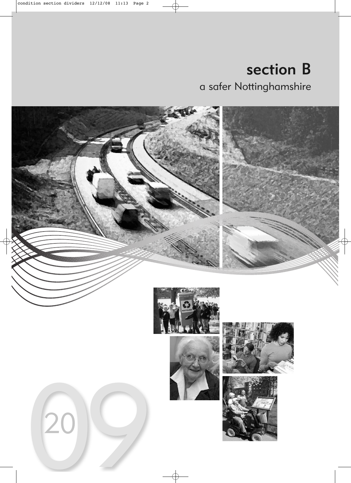section B a safer Nottinghamshire

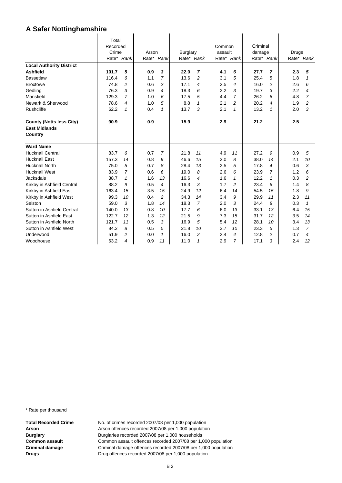| . ש                                                                |                                     |                |       |                |                 |                |                   |                |                    |                |       |                |
|--------------------------------------------------------------------|-------------------------------------|----------------|-------|----------------|-----------------|----------------|-------------------|----------------|--------------------|----------------|-------|----------------|
|                                                                    | Total<br>Recorded<br>Crime<br>Rate* | Rank           | Arson | Rate* Rank     | <b>Burglary</b> | Rate* Rank     | Common<br>assault | Rate* Rank     | Criminal<br>damage | Rate* Rank     | Drugs | Rate* Rank     |
| <b>Local Authority District</b>                                    |                                     |                |       |                |                 |                |                   |                |                    |                |       |                |
| <b>Ashfield</b>                                                    | 101.7                               | 5              | 0.9   | 3              | 22.0            | 7              | 4.1               | 6              | 27.7               | 7              | 2.3   | 5              |
| <b>Bassetlaw</b>                                                   | 116.4                               | 6              | 1.1   | 7              | 13.6            | $\overline{c}$ | 3.1               | 5              | 25.4               | 5              | 1.8   | 1              |
| <b>Broxtowe</b>                                                    | 74.8                                | $\overline{c}$ | 0.6   | 2              | 17.1            | 4              | 2.5               | 4              | 16.0               | 2              | 2.6   | 6              |
| Gedling                                                            | 76.3                                | 3              | 0.9   | 4              | 18.3            | 6              | 2.2               | 3              | 19.7               | 3              | 2.2   | 4              |
| Mansfield                                                          | 129.3                               | $\overline{7}$ | 1.0   | 6              | 17.5            | 5              | 4.4               | $\overline{7}$ | 26.2               | 6              | 4.8   | $\overline{7}$ |
| Newark & Sherwood                                                  | 78.6                                | 4              | 1.0   | 5              | 8.8             | 1              | 2.1               | $\overline{c}$ | 20.2               | 4              | 1.9   | 2              |
| Rushcliffe                                                         | 62.2                                | $\mathbf{1}$   | 0.4   | 1              | 13.7            | 3              | 2.1               | $\mathbf{1}$   | 13.2               | $\mathbf{1}$   | 2.0   | 3              |
| <b>County (Notts less City)</b><br><b>East Midlands</b><br>Country | 90.9                                |                | 0.9   |                | 15.9            |                | 2.9               |                | 21.2               |                | 2.5   |                |
| <b>Ward Name</b>                                                   |                                     |                |       |                |                 |                |                   |                |                    |                |       |                |
| <b>Hucknall Central</b>                                            | 83.7                                | 6              | 0.7   | 7              | 21.8            | 11             | 4.9               | 11             | 27.2               | 9              | 0.9   | 5              |
| <b>Hucknall East</b>                                               | 157.3                               | 14             | 0.8   | 9              | 46.6            | 15             | 3.0               | 8              | 38.0               | 14             | 2.1   | 10             |
| <b>Hucknall North</b>                                              | 75.0                                | 5              | 0.7   | 8              | 28.4            | 13             | 2.5               | 5              | 17.8               | 4              | 0.6   | 3              |
| <b>Hucknall West</b>                                               | 83.9                                | $\overline{7}$ | 0.6   | 6              | 19.0            | 8              | 2.6               | 6              | 23.9               | $\overline{7}$ | 1.2   | 6              |
| Jacksdale                                                          | 38.7                                | $\mathbf{1}$   | 1.6   | 13             | 16.6            | 4              | 1.6               | $\mathbf{1}$   | 12.2               | $\mathbf{1}$   | 0.3   | 2              |
| Kirkby in Ashfield Central                                         | 88.2                                | 9              | 0.5   | 4              | 16.3            | 3              | 1.7               | $\overline{c}$ | 23.4               | 6              | 1.4   | 8              |
| Kirkby in Ashfield East                                            | 163.4                               | 15             | 3.5   | 15             | 24.9            | 12             | 6.4               | 14             | 54.5               | 15             | 1.8   | 9              |
| Kirkby in Ashfield West                                            | 99.3                                | 10             | 0.4   | $\overline{c}$ | 34.3            | 14             | 3.4               | 9              | 29.9               | 11             | 2.3   | 11             |
| Selston                                                            | 59.0                                | 3              | 1.8   | 14             | 18.3            | $\overline{7}$ | 2.0               | 3              | 24.4               | 8              | 0.3   | $\mathbf{1}$   |
| Sutton in Ashfield Central                                         | 140.0                               | 13             | 0.8   | 10             | 17.7            | 6              | 6.0               | 13             | 33.1               | 13             | 6.4   | 15             |
| Sutton in Ashfield East                                            | 122.7                               | 12             | 1.3   | 12             | 21.5            | 9              | 7.3               | 15             | 31.7               | 12             | 3.5   | 14             |
| Sutton in Ashfield North                                           | 121.7                               | 11             | 0.5   | 3              | 16.9            | 5              | 5.4               | 12             | 28.1               | 10             | 3.4   | 13             |
| Sutton in Ashfield West                                            | 84.2                                | 8              | 0.5   | 5              | 21.8            | 10             | 3.7               | 10             | 23.3               | 5              | 1.3   | $\overline{7}$ |
| Underwood                                                          | 51.9                                | 2              | 0.0   | $\mathbf{1}$   | 16.0            | $\overline{c}$ | 2.4               | 4              | 12.8               | 2              | 0.7   | 4              |
| Woodhouse                                                          | 63.2                                | 4              | 0.9   | 11             | 11.0            | 1              | 2.9               | $\overline{7}$ | 17.1               | 3              | 2.4   | 12             |

\* Rate per thousand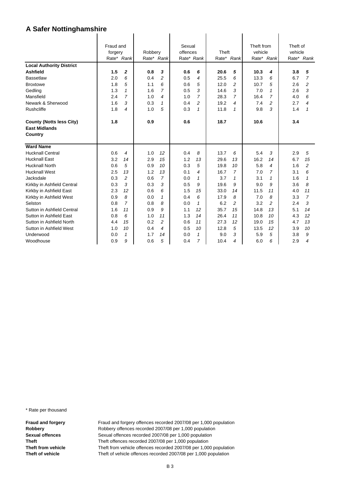| . .<br>. פ                                              |                      |                |         |                |                                  |                |                |                |                                |                |                     |                |
|---------------------------------------------------------|----------------------|----------------|---------|----------------|----------------------------------|----------------|----------------|----------------|--------------------------------|----------------|---------------------|----------------|
| <b>Local Authority District</b>                         | Fraud and<br>forgery | Rate* Rank     | Robbery | Rate* Rank     | Sexual<br>offences<br>Rate* Rank |                | Theft<br>Rate* | Rank           | Theft from<br>vehicle<br>Rate* | Rank           | Theft of<br>vehicle | Rate* Rank     |
| <b>Ashfield</b>                                         | 1.5                  | $\mathbf 2$    | 0.8     | 3              | 0.6                              | 6              | 20.6           | 5              | 10.3                           | 4              | 3.8                 | 5              |
| <b>Bassetlaw</b>                                        | 2.0                  | 6              | 0.4     | $\overline{2}$ | 0.5                              | 4              | 25.5           | 6              | 13.3                           | 6              | 6.7                 | $\overline{7}$ |
| <b>Broxtowe</b>                                         | 1.8                  | 5              | 1.1     | 6              | 0.6                              | 5              | 12.0           | $\overline{c}$ | 10.7                           | 5              | 2.6                 | $\overline{c}$ |
| Gedling                                                 | 1.3                  | $\mathbf{1}$   | 1.6     | $\overline{7}$ | 0.5                              | 3              | 14.6           | 3              | 7.0                            | $\mathbf{1}$   | 2.6                 | 3              |
| Mansfield                                               | 2.4                  | $\overline{7}$ | 1.0     | 4              | 1.0                              | $\overline{7}$ | 28.3           | $\overline{7}$ | 16.4                           | 7              | 4.0                 | 6              |
| Newark & Sherwood                                       | 1.6                  | 3              | 0.3     | $\mathbf{1}$   | 0.4                              | $\overline{c}$ | 19.2           | 4              | 7.4                            | 2              | 2.7                 | 4              |
| Rushcliffe                                              | 1.8                  | 4              | 1.0     | 5              | 0.3                              | $\mathbf{1}$   | 11.8           | $\mathbf{1}$   | 9.8                            | 3              | 1.4                 | 1              |
|                                                         |                      |                |         |                |                                  |                |                |                |                                |                |                     |                |
| <b>County (Notts less City)</b><br><b>East Midlands</b> | 1.8                  |                | 0.9     |                | 0.6                              |                | 18.7           |                | 10.6                           |                | 3.4                 |                |
| Country                                                 |                      |                |         |                |                                  |                |                |                |                                |                |                     |                |
| <b>Ward Name</b>                                        |                      |                |         |                |                                  |                |                |                |                                |                |                     |                |
| <b>Hucknall Central</b>                                 | 0.6                  | 4              | 1.0     | 12             | 0.4                              | 8              | 13.7           | 6              | 5.4                            | 3              | 2.9                 | 5              |
| <b>Hucknall East</b>                                    | 3.2                  | 14             | 2.9     | 15             | 1.2                              | 13             | 29.6           | 13             | 16.2                           | 14             | 6.7                 | 15             |
| <b>Hucknall North</b>                                   | 0.6                  | 5              | 0.9     | 10             | 0.3                              | 5              | 19.8           | 10             | 5.8                            | 4              | 1.6                 | $\overline{a}$ |
| <b>Hucknall West</b>                                    | 2.5                  | 13             | 1.2     | 13             | 0.1                              | 4              | 16.7           | $\overline{7}$ | 7.0                            | $\overline{7}$ | 3.1                 | 6              |
| Jacksdale                                               | 0.3                  | 2              | 0.6     | 7              | 0.0                              | 1              | 3.7            | $\mathbf{1}$   | 3.1                            | $\mathbf{1}$   | 1.6                 | 1              |
| Kirkby in Ashfield Central                              | 0.3                  | 3              | 0.3     | 3              | 0.5                              | 9              | 19.6           | 9              | 9.0                            | 9              | 3.6                 | 8              |
| Kirkby in Ashfield East                                 | 2.3                  | 12             | 0.6     | 6              | 1.5                              | 15             | 33.0           | 14             | 11.5                           | 11             | 4.0                 | 11             |
| Kirkby in Ashfield West                                 | 0.9                  | 8              | 0.0     | $\mathbf{1}$   | 0.4                              | 6              | 17.9           | 8              | 7.0                            | 8              | 3.3                 | $\overline{7}$ |
| Selston                                                 | 0.8                  | $\overline{7}$ | 0.8     | 8              | 0.0                              | $\mathbf{1}$   | 6.2            | $\overline{c}$ | 3.2                            | $\overline{c}$ | 2.4                 | 3              |
| Sutton in Ashfield Central                              | 1.6                  | 11             | 0.9     | 9              | 1.1                              | 12             | 35.7           | 15             | 14.8                           | 13             | 5.1                 | 14             |
| Sutton in Ashfield East                                 | 0.8                  | 6              | 1.0     | 11             | 1.3                              | 14             | 26.4           | 11             | 10.8                           | 10             | 4.3                 | 12             |
| Sutton in Ashfield North                                | 4.4                  | 15             | 0.2     | $\overline{c}$ | 0.6                              | 11             | 27.3           | 12             | 19.0                           | 15             | 4.7                 | 13             |
| Sutton in Ashfield West                                 | 1.0                  | 10             | 0.4     | 4              | 0.5                              | 10             | 12.8           | 5              | 13.5                           | 12             | 3.9                 | 10             |
| Underwood                                               | 0.0                  | $\mathbf{1}$   | 1.7     | 14             | 0.0                              | $\mathbf{1}$   | 9.0            | 3              | 5.9                            | 5              | 3.8                 | 9              |
| Woodhouse                                               | 0.9                  | 9              | 0.6     | 5              | 0.4                              | $\overline{7}$ | 10.4           | 4              | 6.0                            | 6              | 2.9                 | 4              |

\* Rate per thousand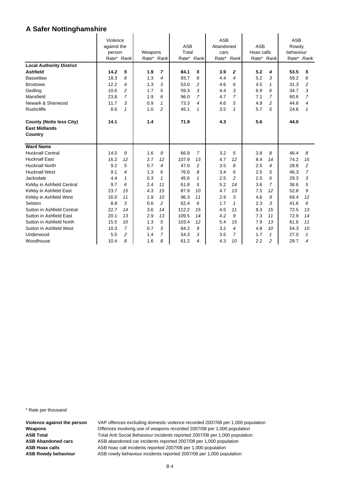| <br>ישי                         |                         |                |         |                          |            |                |                         |                |            |              |                     |                |
|---------------------------------|-------------------------|----------------|---------|--------------------------|------------|----------------|-------------------------|----------------|------------|--------------|---------------------|----------------|
|                                 | Violence<br>against the |                |         |                          | <b>ASB</b> |                | <b>ASB</b><br>Abandoned |                | <b>ASB</b> |              | <b>ASB</b><br>Rowdy |                |
|                                 | person                  |                | Weapons |                          | Total      |                | cars                    |                | Hoax calls |              | behaviour           |                |
|                                 | Rate* Rank              |                |         | Rate* Rank               |            | Rate* Rank     | Rate*                   | Rank           |            | Rate* Rank   |                     | Rate* Rank     |
| <b>Local Authority District</b> |                         |                |         |                          |            |                |                         |                |            |              |                     |                |
| <b>Ashfield</b>                 | 14.2                    | 5              | 1.9     | $\overline{7}$           | 84.1       | 5              | 3.9                     | $\mathbf{2}$   | 5.2        | 4            | 53.5                | 5              |
| <b>Bassetlaw</b>                | 18.3                    | 6              | 1.3     | $\overline{\mathcal{A}}$ | 93.7       | 6              | 4.4                     | 4              | 5.2        | 3            | 59.2                | 6              |
| <b>Broxtowe</b>                 | 12.2                    | 4              | 1.3     | 3                        | 53.0       | $\overline{c}$ | 4.6                     | 6              | 4.5        | $\mathbf{1}$ | 31.3                | $\overline{c}$ |
|                                 | 10.6                    | $\overline{c}$ | 1.7     | 5                        | 59.3       | 3              | 4.4                     | 3              | 6.9        | 6            | 34.7                | 3              |
| Gedling<br>Mansfield            | 23.8                    | $\overline{7}$ | 1.9     | 6                        | 96.0       | $\overline{7}$ | 4.7                     | $\overline{7}$ | 7.1        | 7            | 60.6                | $\overline{7}$ |
| Newark & Sherwood               | 11.7                    | 3              | 0.9     | $\mathbf{1}$             | 73.3       | 4              | 4.6                     | 5              | 4.9        | 2            | 44.8                | 4              |
| Rushcliffe                      | 8.6                     | $\mathbf{1}$   | 1.0     | $\overline{c}$           | 45.1       | $\mathbf{1}$   | 3.5                     | $\mathbf{1}$   | 5.7        | 5            | 24.6                | 1              |
|                                 |                         |                |         |                          |            |                |                         |                |            |              |                     |                |
| <b>County (Notts less City)</b> | 14.1                    |                | 1.4     |                          | 71.9       |                | 4.3                     |                | 5.6        |              | 44.0                |                |
| <b>East Midlands</b>            |                         |                |         |                          |            |                |                         |                |            |              |                     |                |
| Country                         |                         |                |         |                          |            |                |                         |                |            |              |                     |                |
|                                 |                         |                |         |                          |            |                |                         |                |            |              |                     |                |
| <b>Ward Name</b>                |                         |                |         |                          |            |                |                         |                |            |              |                     |                |
| <b>Hucknall Central</b>         | 14.5                    | 9              | 1.6     | 9                        | 66.9       | 7              | 3.2                     | 5              | 3.8        | 8            | 46.4                | 8              |
| <b>Hucknall East</b>            | 16.2                    | 12             | 2.7     | 12                       | 107.9      | 13             | 4.7                     | 12             | 8.4        | 14           | 74.2                | 15             |
| <b>Hucknall North</b>           | 9.2                     | 5              | 0.7     | 4                        | 47.0       | $\overline{c}$ | 3.5                     | 8              | 2.5        | 4            | 28.8                | $\overline{a}$ |
| <b>Hucknall West</b>            | 9.1                     | 4              | 1.3     | 6                        | 76.6       | 8              | 3.4                     | 6              | 2.5        | 5            | 46.3                | $\overline{7}$ |
| Jacksdale                       | 4.4                     | 1              | 0.3     | 1                        | 45.6       | 1              | 2.5                     | 2              | 2.5        | 6            | 29.3                | 3              |
| Kirkby in Ashfield Central      | 9.7                     | 6              | 2.4     | 11                       | 61.8       | 5              | 5.2                     | 14             | 3.6        | 7            | 36.6                | 5              |
| Kirkby in Ashfield East         | 23.7                    | 15             | 4.3     | 15                       | 87.9       | 10             | 4.7                     | 13             | 7.5        | 12           | 52.8                | 9              |
| Kirkby in Ashfield West         | 16.0                    | 11             | 1.9     | 10                       | 96.3       | 11             | 2.9                     | 3              | 4.6        | 9            | 69.4                | 12             |
| Selston                         | 8.8                     | 3              | 0.6     | $\overline{c}$           | 62.4       | 6              | 1.7                     | 1              | 2.3        | 3            | 41.6                | 6              |
| Sutton in Ashfield Central      | 22.7                    | 14             | 3.6     | 14                       | 112.2      | 15             | 4.5                     | 11             | 9.3        | 15           | 72.5                | 13             |
| Sutton in Ashfield East         | 20.1                    | 13             | 2.9     | 13                       | 109.5      | 14             | 4.2                     | 9              | 7.3        | 11           | 72.9                | 14             |
| Sutton in Ashfield North        | 15.5                    | 10             | 1.3     | 5                        | 103.4      | 12             | 5.4                     | 15             | 7.9        | 13           | 61.6                | 11             |
| Sutton in Ashfield West         | 10.3                    | $\overline{7}$ | 0.7     | 3                        | 84.2       | 9              | 3.2                     | $\overline{4}$ | 4.8        | 10           | 54.3                | 10             |
| Underwood                       | 5.5                     | 2              | 1.4     | $\overline{7}$           | 54.3       | 3              | 3.5                     | $\overline{7}$ | 1.7        | $\mathbf{1}$ | 27.0                | $\mathbf{1}$   |
| Woodhouse                       | 10.4                    | 8              | 1.6     | 8                        | 61.2       | 4              | 4.3                     | 10             | 2.2        | 2            | 29.7                | 4              |

\* Rate per thousand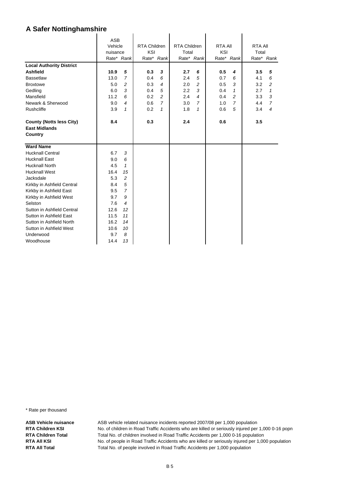|                                                         | <b>ASB</b><br>Vehicle<br>nuisance |                | <b>RTA Children</b><br>KSI |                | <b>RTA Children</b><br>Total |                          | <b>RTA AII</b><br>KSI |                | <b>RTA AII</b><br>Total |                |
|---------------------------------------------------------|-----------------------------------|----------------|----------------------------|----------------|------------------------------|--------------------------|-----------------------|----------------|-------------------------|----------------|
|                                                         |                                   | Rate* Rank     |                            | Rate* Rank     |                              | Rate* Rank               |                       | Rate* Rank     |                         | Rate* Rank     |
| <b>Local Authority District</b>                         |                                   |                |                            |                |                              |                          |                       |                |                         |                |
| <b>Ashfield</b>                                         | 10.9                              | 5              | 0.3                        | 3              | 2.7                          | 6                        | 0.5                   | 4              | 3.5                     | 5              |
| <b>Bassetlaw</b>                                        | 13.0                              | $\overline{7}$ | 0.4                        | 6              | 2.4                          | 5                        | 0.7                   | 6              | 4.1                     | 6              |
| <b>Broxtowe</b>                                         | 5.0                               | 2              | 0.3                        | 4              | 2.0                          | $\overline{c}$           | 0.5                   | 3              | 3.2                     | $\overline{c}$ |
| Gedling                                                 | 6.0                               | 3              | 0.4                        | 5              | 2.2                          | 3                        | 0.4                   | $\mathbf{1}$   | 2.7                     | 1              |
| Mansfield                                               | 11.2                              | 6              | 0.2                        | $\overline{c}$ | 2.4                          | $\overline{\mathcal{A}}$ | 0.4                   | $\overline{a}$ | 3.3                     | 3              |
| Newark & Sherwood                                       | 9.0                               | $\overline{4}$ | 0.6                        | $\overline{7}$ | 3.0                          | $\overline{7}$           | 1.0                   | $\overline{7}$ | 4.4                     | $\overline{7}$ |
| <b>Rushcliffe</b>                                       | 3.9                               | 1              | 0.2                        | 1              | 1.8                          | 1                        | 0.6                   | 5              | 3.4                     | 4              |
| <b>County (Notts less City)</b><br><b>East Midlands</b> | 8.4                               |                | 0.3                        |                | 2.4                          |                          | 0.6                   |                | 3.5                     |                |
| Country                                                 |                                   |                |                            |                |                              |                          |                       |                |                         |                |
| <b>Ward Name</b>                                        |                                   |                |                            |                |                              |                          |                       |                |                         |                |
| <b>Hucknall Central</b>                                 | 6.7                               | 3              |                            |                |                              |                          |                       |                |                         |                |
| <b>Hucknall East</b>                                    | 9.0                               | 6              |                            |                |                              |                          |                       |                |                         |                |
| <b>Hucknall North</b>                                   | 4.5                               | $\mathbf{1}$   |                            |                |                              |                          |                       |                |                         |                |
| <b>Hucknall West</b>                                    | 16.4                              | 15             |                            |                |                              |                          |                       |                |                         |                |
| Jacksdale                                               | 5.3                               | $\overline{c}$ |                            |                |                              |                          |                       |                |                         |                |
| Kirkby in Ashfield Central                              | 8.4                               | 5              |                            |                |                              |                          |                       |                |                         |                |
| Kirkby in Ashfield East                                 | 9.5                               | $\overline{7}$ |                            |                |                              |                          |                       |                |                         |                |
| Kirkby in Ashfield West                                 | 9.7                               | 9              |                            |                |                              |                          |                       |                |                         |                |
| Selston                                                 | 7.6                               | $\overline{4}$ |                            |                |                              |                          |                       |                |                         |                |
| Sutton in Ashfield Central                              | 12.6                              | 12             |                            |                |                              |                          |                       |                |                         |                |
| Sutton in Ashfield East                                 | 11.5                              | 11             |                            |                |                              |                          |                       |                |                         |                |
| Sutton in Ashfield North                                | 16.2                              | 14             |                            |                |                              |                          |                       |                |                         |                |
| Sutton in Ashfield West                                 | 10.6                              | 10             |                            |                |                              |                          |                       |                |                         |                |
| Underwood                                               | 9.7                               | 8              |                            |                |                              |                          |                       |                |                         |                |
| Woodhouse                                               | 14.4                              | 13             |                            |                |                              |                          |                       |                |                         |                |

\* Rate per thousand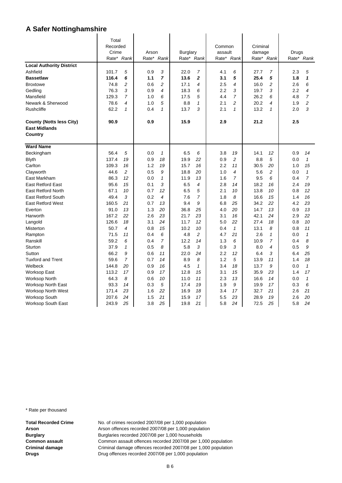|                                 | Total      |                |       |                |          |                |         |                |          |                |       |                |
|---------------------------------|------------|----------------|-------|----------------|----------|----------------|---------|----------------|----------|----------------|-------|----------------|
|                                 | Recorded   |                |       |                |          |                | Common  |                | Criminal |                |       |                |
|                                 | Crime      |                | Arson |                | Burglary |                | assault |                | damage   |                | Drugs |                |
|                                 | Rate* Rank |                |       | Rate* Rank     |          | Rate* Rank     |         | Rate* Rank     |          | Rate* Rank     |       | Rate* Rank     |
| <b>Local Authority District</b> |            |                |       |                |          |                |         |                |          |                |       |                |
| Ashfield                        | 101.7      | 5              | 0.9   | 3              | 22.0     | $\overline{7}$ | 4.1     | 6              | 27.7     | 7              | 2.3   | 5              |
| <b>Bassetlaw</b>                | 116.4      | 6              | 1.1   | $\overline{7}$ | 13.6     | $\overline{2}$ | 3.1     | 5              | 25.4     | 5              | 1.8   | 1              |
| <b>Broxtowe</b>                 | 74.8       | $\overline{c}$ | 0.6   | $\overline{c}$ | 17.1     | 4              | 2.5     | 4              | 16.0     | 2              | 2.6   | 6              |
| Gedling                         | 76.3       | 3              | 0.9   | 4              | 18.3     | 6              | 2.2     | 3              | 19.7     | 3              | 2.2   | 4              |
| Mansfield                       | 129.3      | $\overline{7}$ | 1.0   | 6              | 17.5     | 5              | 4.4     | $\overline{7}$ | 26.2     | 6              | 4.8   | $\overline{7}$ |
| Newark & Sherwood               | 78.6       | 4              | 1.0   | 5              | 8.8      | $\mathbf{1}$   | 2.1     | $\overline{c}$ | 20.2     | 4              | 1.9   | 2              |
| <b>Rushcliffe</b>               | 62.2       | $\mathbf{1}$   | 0.4   | 1              | 13.7     | 3              | 2.1     | $\mathbf{1}$   | 13.2     | $\mathbf{1}$   | 2.0   | 3              |
| <b>County (Notts less City)</b> | 90.9       |                | 0.9   |                | 15.9     |                | 2.9     |                | 21.2     |                | 2.5   |                |
| <b>East Midlands</b>            |            |                |       |                |          |                |         |                |          |                |       |                |
| Country                         |            |                |       |                |          |                |         |                |          |                |       |                |
| <b>Ward Name</b>                |            |                |       |                |          |                |         |                |          |                |       |                |
| Beckingham                      | 56.4       | 5              | 0.0   | $\mathbf{1}$   | 6.5      | 6              | 3.8     | 19             | 14.1     | 12             | 0.9   | 14             |
| <b>Blyth</b>                    | 137.4      | 19             | 0.9   | 18             | 19.9     | 22             | 0.9     | 2              | 8.8      | 5              | 0.0   | $\mathbf{1}$   |
| Carlton                         | 109.3      | 16             | 1.2   | 19             | 15.7     | 16             | 2.2     | 11             | 30.5     | 20             | 1.0   | 15             |
| Clayworth                       | 44.6       | $\overline{c}$ | 0.5   | 9              | 18.8     | 20             | 1.0     | 4              | 5.6      | $\overline{c}$ | 0.0   | $\mathbf{1}$   |
| East Markham                    | 86.3       | 12             | 0.0   | $\mathbf{1}$   | 11.9     | 13             | 1.6     | $\overline{7}$ | 9.5      | 6              | 0.4   | $\overline{7}$ |
| <b>East Retford East</b>        | 95.6       | 15             | 0.1   | 3              | 6.5      | 4              | 2.8     | 14             | 18.2     | 16             | 2.4   | 19             |
| <b>East Retford North</b>       | 67.1       | 10             | 0.7   | 12             | 6.5      | 5              | 2.1     | 10             | 13.8     | 10             | 0.8   | 12             |
| <b>East Retford South</b>       | 49.4       | 3              | 0.2   | 4              | 7.6      | $\overline{7}$ | 1.8     | 8              | 16.6     | 15             | 1.4   | 16             |
| <b>East Retford West</b>        | 160.5      | 21             | 0.7   | 13             | 9.4      | 9              | 6.8     | 25             | 34.2     | 22             | 4.2   | 23             |
| Everton                         | 91.0       | 13             | 1.3   | 20             | 36.8     | 25             | 4.0     | 20             | 14.7     | 13             | 0.9   | 13             |
| Harworth                        | 167.2      | 22             | 2.6   | 23             | 21.7     | 23             | 3.1     | 16             | 42.1     | 24             | 2.9   | 22             |
| Langold                         | 126.6      | 18             | 3.1   | 24             | 11.7     | 12             | 5.0     | 22             | 27.4     | 18             | 0.8   | 10             |
| Misterton                       | 50.7       | 4              | 0.8   | 15             | 10.2     | 10             | 0.4     | $\mathbf{1}$   | 13.1     | 8              | 0.8   | 11             |
| Rampton                         | 71.5       | 11             | 0.4   | 6              | 4.8      | 2              | 4.7     | 21             | 2.6      | 1              | 0.0   | $\mathbf{1}$   |
| Ranskill                        | 59.2       | 6              | 0.4   | $\overline{7}$ | 12.2     | 14             | 1.3     | 6              | 10.9     | 7              | 0.4   | 8              |
| Sturton                         | 37.9       | $\mathcal I$   | 0.5   | 8              | 5.8      | 3              | 0.9     | 3              | 8.0      | 4              | 0.5   | 9              |
| Sutton                          | 66.2       | 9              | 0.6   | 11             | 22.0     | 24             | 2.2     | 12             | 6.4      | 3              | 6.4   | 25             |
| <b>Tuxford and Trent</b>        | 59.6       | $\overline{7}$ | 0.7   | 14             | 8.9      | 8              | 1.2     | 5              | 13.9     | 11             | 1.4   | 18             |
| Welbeck                         | 144.8      | 20             | 0.9   | 16             | 4.5      | $\mathbf{1}$   | 3.4     | 18             | 13.7     | 9              | 0.0   | $\mathbf{1}$   |
| <b>Worksop East</b>             | 113.2      | 17             | 0.9   | 17             | 12.8     | 15             | 3.1     | 15             | 35.9     | 23             | 1.4   | 17             |
| <b>Worksop North</b>            | 64.3       | 8              | 0.6   | 10             | 11.0     | 11             | 2.3     | 13             | 16.6     | 14             | 0.0   | $\mathbf{1}$   |
| <b>Worksop North East</b>       | 93.3       | 14             | 0.3   | 5              | 17.4     | 19             | 1.9     | 9              | 19.9     | 17             | 0.3   | 6              |
| <b>Worksop North West</b>       | 171.4      | 23             | 1.6   | 22             | 16.9     | 18             | 3.4     | 17             | 32.7     | 21             | 2.6   | 21             |
| <b>Worksop South</b>            | 207.6      | 24             | 1.5   | 21             | 15.9     | 17             | 5.5     | 23             | 28.9     | 19             | 2.6   | 20             |
| Worksop South East              | 243.9      | 25             | 3.8   | 25             | 19.8     | 21             | 5.8     | 24             | 72.5     | 25             | 5.8   | 24             |

\* Rate per thousand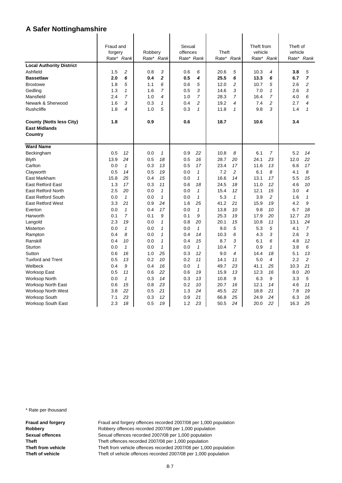|                                 | Fraud and  |                          |            |              | Sexual     |              |            |                | Theft from |                | Theft of |                |
|---------------------------------|------------|--------------------------|------------|--------------|------------|--------------|------------|----------------|------------|----------------|----------|----------------|
|                                 | forgery    |                          | Robbery    |              | offences   |              | Theft      |                | vehicle    |                | vehicle  |                |
|                                 | Rate* Rank |                          | Rate* Rank |              | Rate* Rank |              | Rate* Rank |                |            | Rate* Rank     |          | Rate* Rank     |
| <b>Local Authority District</b> |            |                          |            |              |            |              |            |                |            |                |          |                |
| Ashfield                        | 1.5        | 2                        | 0.8        | 3            | 0.6        | 6            | 20.6       | 5              | 10.3       | 4              | 3.8      | 5              |
| <b>Bassetlaw</b>                | 2.0        | 6                        | 0.4        | $\mathbf 2$  | 0.5        | 4            | 25.5       | 6              | 13.3       | 6              | 6.7      | $\overline{7}$ |
| <b>Broxtowe</b>                 | 1.8        | 5                        | 1.1        | 6            | 0.6        | 5            | 12.0       | $\overline{c}$ | 10.7       | 5              | 2.6      | 2              |
| Gedling                         | 1.3        | $\mathcal I$             | 1.6        | 7            | 0.5        | 3            | 14.6       | 3              | 7.0        | $\mathcal I$   | 2.6      | 3              |
| Mansfield                       | 2.4        | $\overline{7}$           | 1.0        | 4            | 1.0        | 7            | 28.3       | $\overline{7}$ | 16.4       | $\overline{7}$ | 4.0      | 6              |
| Newark & Sherwood               | 1.6        | 3                        | 0.3        | $\mathbf{1}$ | 0.4        | 2            | 19.2       | 4              | 7.4        | 2              | 2.7      | 4              |
| Rushcliffe                      | 1.8        | $\overline{\mathcal{A}}$ | 1.0        | 5            | 0.3        | $\mathbf{1}$ | 11.8       | $\mathcal I$   | 9.8        | 3              | 1.4      | $\mathbf{1}$   |
| <b>County (Notts less City)</b> | 1.8        |                          | 0.9        |              | 0.6        |              | 18.7       |                | 10.6       |                | 3.4      |                |
| <b>East Midlands</b>            |            |                          |            |              |            |              |            |                |            |                |          |                |
| Country                         |            |                          |            |              |            |              |            |                |            |                |          |                |
| <b>Ward Name</b>                |            |                          |            |              |            |              |            |                |            |                |          |                |
| Beckingham                      | 0.5        | 12                       | 0.0        | $\mathbf{1}$ | 0.9        | 22           | 10.8       | 8              | 6.1        | $\overline{7}$ | 5.2      | 14             |
| <b>Blyth</b>                    | 13.9       | 24                       | 0.5        | 18           | 0.5        | 16           | 28.7       | 20             | 24.1       | 23             | 12.0     | 22             |
| Carlton                         | 0.0        | $\mathbf{1}$             | 0.3        | 13           | 0.5        | 17           | 23.4       | 17             | 11.6       | 13             | 6.6      | 17             |
| Clayworth                       | 0.5        | 14                       | 0.5        | 19           | 0.0        | $\mathbf{1}$ | 7.2        | 2              | 6.1        | 8              | 4.1      | 8              |
| East Markham                    | 15.8       | 25                       | 0.4        | 15           | 0.0        | $\mathbf{1}$ | 16.6       | 14             | 13.1       | 17             | 5.5      | 15             |
| <b>East Retford East</b>        | 1.3        | 17                       | 0.3        | 11           | 0.6        | 18           | 24.5       | 18             | 11.0       | 12             | 4.6      | 10             |
| <b>East Retford North</b>       | 2.5        | 20                       | 0.0        | $\mathbf{1}$ | 0.0        | $\mathbf{1}$ | 15.4       | 12             | 12.1       | 15             | 3.0      | 4              |
| <b>East Retford South</b>       | 0.0        | $\mathbf{1}$             | 0.0        | $\mathbf{1}$ | 0.0        | $\mathbf{1}$ | 5.3        | $\mathbf{1}$   | 3.9        | $\overline{c}$ | 1.6      | $\mathbf{1}$   |
| <b>East Retford West</b>        | 3.3        | 21                       | 0.9        | 24           | 1.6        | 25           | 41.2       | 21             | 15.9       | 19             | 4.2      | 9              |
| Everton                         | 0.0        | $\mathbf{1}$             | 0.4        | 17           | 0.0        | $\mathbf{1}$ | 13.8       | 10             | 9.8        | 10             | 6.7      | 18             |
| Harworth                        | 0.1        | $\overline{7}$           | 0.1        | 9            | 0.1        | 9            | 25.3       | 19             | 17.9       | 20             | 12.7     | 23             |
| Langold                         | 2.3        | 19                       | 0.0        | $\mathcal I$ | 0.8        | 20           | 20.1       | 15             | 10.8       | 11             | 13.1     | 24             |
| Misterton                       | 0.0        | $\mathbf{1}$             | 0.0        | $\mathcal I$ | 0.0        | $\mathbf{1}$ | 9.0        | 5              | 5.3        | 5              | 4.1      | $\overline{7}$ |
| Rampton                         | 0.4        | 8                        | 0.0        | $\mathbf{1}$ | 0.4        | 14           | 10.3       | 6              | 4.3        | 3              | 2.6      | 3              |
| Ranskill                        | 0.4        | 10                       | 0.0        | $\mathcal I$ | 0.4        | 15           | 8.7        | 3              | 6.1        | 6              | 4.8      | 12             |
| Sturton                         | 0.0        | $\mathcal I$             | 0.0        | $\mathcal I$ | 0.0        | $\mathbf{1}$ | 10.4       | $\overline{7}$ | 0.9        | $\mathcal I$   | 3.8      | 6              |
| Sutton                          | 0.6        | 16                       | 1.0        | 25           | 0.3        | 12           | 9.0        | 4              | 14.4       | 18             | 5.1      | 13             |
| <b>Tuxford and Trent</b>        | 0.5        | 13                       | 0.2        | 10           | 0.2        | 11           | 14.1       | 11             | 5.0        | $\overline{4}$ | 2.2      | $\overline{c}$ |
| Welbeck                         | 0.4        | 9                        | 0.4        | 16           | 0.0        | $\mathbf{1}$ | 49.7       | 23             | 41.1       | 25             | 10.3     | 21             |
| <b>Worksop East</b>             | 0.5        | 11                       | 0.6        | 22           | 0.6        | 19           | 15.9       | 13             | 12.3       | 16             | 8.0      | 20             |
| <b>Worksop North</b>            | 0.0        | $\mathcal I$             | 0.3        | 14           | 0.3        | 13           | 10.8       | 9              | 6.3        | 9              | 3.3      | 5              |
| <b>Worksop North East</b>       | 0.6        | 15                       | 0.8        | 23           | 0.2        | 10           | 20.7       | 16             | 12.1       | 14             | 4.6      | 11             |
| <b>Worksop North West</b>       | 3.8        | 22                       | 0.5        | 21           | 1.3        | 24           | 45.5       | 22             | 18.8       | 21             | 7.8      | 19             |
| <b>Worksop South</b>            | 7.1        | 23                       | 0.3        | 12           | 0.9        | 21           | 66.8       | 25             | 24.9       | 24             | 6.3      | 16             |
| Worksop South East              | 2.3        | 18                       | 0.5        | 19           | 1.2        | 23           | 50.5       | 24             | 20.0       | 22             | 16.3     | 25             |

\* Rate per thousand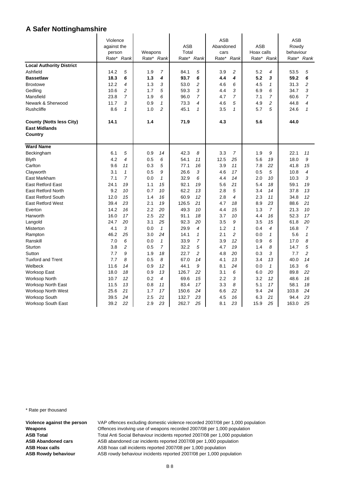|                                 | Violence    |                |         |                |            |                | <b>ASB</b> |                  |            |                | <b>ASB</b> |                         |
|---------------------------------|-------------|----------------|---------|----------------|------------|----------------|------------|------------------|------------|----------------|------------|-------------------------|
|                                 | against the |                |         |                | <b>ASB</b> |                | Abandoned  |                  | <b>ASB</b> |                | Rowdy      |                         |
|                                 | person      |                | Weapons |                | Total      |                | cars       |                  | Hoax calls |                | behaviour  |                         |
|                                 | Rate* Rank  |                |         | Rate* Rank     | Rate* Rank |                | Rate*      | Rank             | Rate* Rank |                |            | Rate* Rank              |
| <b>Local Authority District</b> |             |                |         |                |            |                |            |                  |            |                |            |                         |
| Ashfield                        | 14.2        | 5              | 1.9     | $\overline{7}$ | 84.1       | 5              | 3.9        | $\overline{2}$   | 5.2        | 4              | 53.5       | 5                       |
| <b>Bassetlaw</b>                | 18.3        | 6              | 1.3     | 4              | 93.7       | 6              | 4.4        | $\boldsymbol{4}$ | 5.2        | 3              | 59.2       | 6                       |
| <b>Broxtowe</b>                 | 12.2        | 4              | 1.3     | 3              | 53.0       | 2              | 4.6        | 6                | 4.5        | 1              | 31.3       | $\overline{\mathbf{c}}$ |
| Gedling                         | 10.6        | 2              | 1.7     | 5              | 59.3       | 3              | 4.4        | 3                | 6.9        | 6              | 34.7       | 3                       |
| Mansfield                       | 23.8        | $\overline{7}$ | 1.9     | 6              | 96.0       | $\overline{7}$ | 4.7        | $\overline{7}$   | 7.1        | $\overline{7}$ | 60.6       | $\overline{7}$          |
| Newark & Sherwood               | 11.7        | 3              | 0.9     | $\mathbf{1}$   | 73.3       | 4              | 4.6        | 5                | 4.9        | 2              | 44.8       | 4                       |
| <b>Rushcliffe</b>               | 8.6         | $\mathbf{1}$   | 1.0     | $\overline{c}$ | 45.1       | $\mathbf{1}$   | 3.5        | $\mathbf{1}$     | 5.7        | 5              | 24.6       | $\mathbf{1}$            |
| <b>County (Notts less City)</b> | 14.1        |                | 1.4     |                | 71.9       |                | 4.3        |                  | 5.6        |                | 44.0       |                         |
| <b>East Midlands</b>            |             |                |         |                |            |                |            |                  |            |                |            |                         |
| Country                         |             |                |         |                |            |                |            |                  |            |                |            |                         |
| <b>Ward Name</b>                |             |                |         |                |            |                |            |                  |            |                |            |                         |
| Beckingham                      | 6.1         | 5              | 0.9     | 14             | 42.3       | 8              | 3.3        | $\overline{7}$   | 1.9        | 9              | 22.1       | 11                      |
| <b>Blyth</b>                    | 4.2         | 4              | 0.5     | 6              | 54.1       | 11             | 12.5       | 25               | 5.6        | 19             | 18.0       | 9                       |
| Carlton                         | 9.6         | 11             | 0.3     | 5              | 77.1       | 16             | 3.9        | 11               | 7.8        | 22             | 41.8       | 15                      |
| Clayworth                       | 3.1         | $\mathbf{1}$   | 0.5     | 9              | 26.6       | 3              | 4.6        | 17               | 0.5        | 5              | 10.8       | 4                       |
| East Markham                    | 7.1         | $\overline{7}$ | 0.0     | $\mathbf{1}$   | 32.9       | 6              | 4.4        | 14               | 2.0        | 10             | 10.3       | 3                       |
| <b>East Retford East</b>        | 24.1        | 19             | 1.1     | 15             | 92.1       | 19             | 5.6        | 21               | 5.4        | 18             | 59.1       | 19                      |
| <b>East Retford North</b>       | 9.2         | 10             | 0.7     | 10             | 62.2       | 13             | 2.8        | 5                | 3.4        | 14             | 37.8       | 13                      |
| <b>East Retford South</b>       | 12.0        | 15             | 1.4     | 16             | 60.9       | 12             | 2.8        | 4                | 2.3        | 11             | 34.8       | 12                      |
| <b>East Retford West</b>        | 39.4        | 23             | 2.1     | 19             | 126.5      | 21             | 4.7        | 18               | 8.9        | 23             | 88.6       | 21                      |
| Everton                         | 14.2        | 16             | 2.2     | 20             | 49.3       | 10             | 4.4        | 15               | 1.3        | $\overline{7}$ | 21.3       | 10                      |
| Harworth                        | 16.0        | 17             | 2.5     | 22             | 91.1       | 18             | 3.7        | 10               | 4.4        | 16             | 52.3       | 17                      |
| Langold                         | 24.7        | 20             | 3.1     | 25             | 92.3       | 20             | 3.5        | 9                | 3.5        | 15             | 61.8       | 20                      |
| Misterton                       | 4.1         | 3              | 0.0     | $\mathbf{1}$   | 29.9       | 4              | 1.2        | 1                | 0.4        | 4              | 16.8       | $\overline{7}$          |
| Rampton                         | 46.2        | 25             | 3.0     | 24             | 14.1       | $\mathbf{1}$   | 2.1        | $\overline{a}$   | 0.0        | $\mathbf{1}$   | 5.6        | $\mathbf{1}$            |
| Ranskill                        | 7.0         | 6              | 0.0     | $\mathbf{1}$   | 33.9       | $\overline{7}$ | 3.9        | 12               | 0.9        | 6              | 17.0       | 8                       |
| Sturton                         | 3.8         | $\overline{c}$ | 0.5     | $\overline{7}$ | 32.2       | 5              | 4.7        | 19               | 1.4        | 8              | 14.7       | 5                       |
| Sutton                          | 7.7         | 9              | 1.9     | 18             | 22.7       | 2              | 4.8        | 20               | 0.3        | 3              | 7.7        | $\overline{c}$          |
| <b>Tuxford and Trent</b>        | 7.7         | 8              | 0.5     | 8              | 67.0       | 14             | 4.1        | 13               | 3.4        | 13             | 40.0       | 14                      |
| Welbeck                         | 11.6        | 14             | 0.9     | 12             | 44.1       | 9              | 8.1        | 24               | 0.0        | $\mathbf{1}$   | 16.3       | 6                       |
| Worksop East                    | 18.0        | 18             | 0.9     | 13             | 126.7      | 22             | 3.1        | 6                | 6.0        | 20             | 89.8       | 22                      |
| <b>Worksop North</b>            | 10.7        | 12             | 0.2     | 4              | 69.6       | 15             | 2.2        | 3                | 3.2        | 12             | 48.6       | 16                      |
| <b>Worksop North East</b>       | 11.5        | 13             | 0.8     | 11             | 83.4       | 17             | 3.3        | 8                | 5.1        | 17             | 58.1       | 18                      |
| <b>Worksop North West</b>       | 25.6        | 21             | 1.7     | 17             | 150.6      | 24             | 6.6        | 22               | 9.4        | 24             | 103.8      | 24                      |
| <b>Worksop South</b>            | 39.5        | 24             | 2.5     | 21             | 132.7      | 23             | 4.5        | 16               | 6.3        | 21             | 94.4       | 23                      |
| <b>Worksop South East</b>       | 39.2        | 22             | 2.9     | 23             | 262.7      | 25             | 8.1        | 23               | 15.9       | 25             | 163.0      | 25                      |

\* Rate per thousand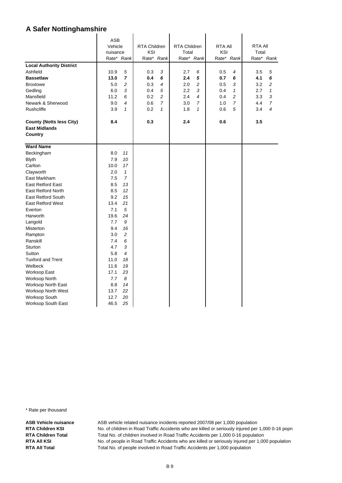| <b>ASB</b><br>RTA Children<br>Vehicle<br>RTA Children<br><b>RTA All</b><br><b>RTA All</b><br>KSI<br>KSI<br>nuisance<br>Total<br>Total<br>Rate* Rank<br>Rate* Rank<br>Rate* Rank<br>Rate* Rank<br>Rate* Rank<br><b>Local Authority District</b><br>Ashfield<br>10.9<br>5<br>0.3<br>3<br>2.7<br>6<br>0.5<br>4<br>3.5<br>5<br>$\overline{7}$<br>6<br>5<br>6<br><b>Bassetlaw</b><br>13.0<br>0.4<br>2.4<br>0.7<br>6<br>4.1<br>2.0<br>3<br>5.0<br>$\overline{c}$<br>0.3<br>$\overline{4}$<br>2<br>3.2<br>2<br><b>Broxtowe</b><br>0.5<br>3<br>5<br>$\sqrt{3}$<br>6.0<br>2.2<br>$\mathbf{1}$<br>2.7<br>$\mathbf{1}$<br>Gedling<br>0.4<br>0.4<br>$\overline{c}$<br>2<br>Mansfield<br>11.2<br>6<br>0.2<br>2.4<br>$\overline{4}$<br>3.3<br>3<br>0.4<br>$\overline{7}$<br>$\boldsymbol{7}$<br>Newark & Sherwood<br>9.0<br>4<br>0.6<br>3.0<br>$\overline{7}$<br>1.0<br>4.4<br>$\overline{7}$<br>5<br><b>Rushcliffe</b><br>$\mathbf{1}$<br>0.2<br>$\mathbf{1}$<br>3.4<br>4<br>3.9<br>1.8<br>$\mathbf{1}$<br>0.6<br>0.3<br>2.4<br>3.5<br><b>County (Notts less City)</b><br>8.4<br>0.6<br><b>East Midlands</b><br><b>Country</b><br><b>Ward Name</b><br>Beckingham<br>8.0<br>11<br><b>Blyth</b><br>7.9<br>10<br>Carlton<br>10.0<br>17<br>Clayworth<br>2.0<br>$\mathbf{1}$<br>$\overline{7}$<br>East Markham<br>7.5<br><b>East Retford East</b><br>8.5<br>13<br>8.5<br>12<br><b>East Retford North</b><br><b>East Retford South</b><br>9.2<br>15<br>13.4<br>21<br><b>East Retford West</b><br>7.1<br>5<br>Everton<br>19.6<br>24<br>Harworth<br>7.7<br>9<br>Langold<br>9.4<br>Misterton<br>16<br>$\overline{c}$<br>Rampton<br>3.0<br>6<br>7.4<br>Ranskill<br>4.7<br>3<br>Sturton<br>$\overline{4}$<br>Sutton<br>5.8<br><b>Tuxford and Trent</b><br>18<br>11.0<br>Welbeck<br>11.6<br>19<br>17.1<br>23<br><b>Worksop East</b><br>7.7<br>8<br>Worksop North<br>8.8<br>14<br>Worksop North East<br>13.7<br>22<br>Worksop North West<br>20<br>Worksop South<br>12.7 |                    |      |    |  |  |  |  |
|-----------------------------------------------------------------------------------------------------------------------------------------------------------------------------------------------------------------------------------------------------------------------------------------------------------------------------------------------------------------------------------------------------------------------------------------------------------------------------------------------------------------------------------------------------------------------------------------------------------------------------------------------------------------------------------------------------------------------------------------------------------------------------------------------------------------------------------------------------------------------------------------------------------------------------------------------------------------------------------------------------------------------------------------------------------------------------------------------------------------------------------------------------------------------------------------------------------------------------------------------------------------------------------------------------------------------------------------------------------------------------------------------------------------------------------------------------------------------------------------------------------------------------------------------------------------------------------------------------------------------------------------------------------------------------------------------------------------------------------------------------------------------------------------------------------------------------------------------------------------------------------------------------------------------------------------------|--------------------|------|----|--|--|--|--|
|                                                                                                                                                                                                                                                                                                                                                                                                                                                                                                                                                                                                                                                                                                                                                                                                                                                                                                                                                                                                                                                                                                                                                                                                                                                                                                                                                                                                                                                                                                                                                                                                                                                                                                                                                                                                                                                                                                                                               |                    |      |    |  |  |  |  |
|                                                                                                                                                                                                                                                                                                                                                                                                                                                                                                                                                                                                                                                                                                                                                                                                                                                                                                                                                                                                                                                                                                                                                                                                                                                                                                                                                                                                                                                                                                                                                                                                                                                                                                                                                                                                                                                                                                                                               |                    |      |    |  |  |  |  |
|                                                                                                                                                                                                                                                                                                                                                                                                                                                                                                                                                                                                                                                                                                                                                                                                                                                                                                                                                                                                                                                                                                                                                                                                                                                                                                                                                                                                                                                                                                                                                                                                                                                                                                                                                                                                                                                                                                                                               |                    |      |    |  |  |  |  |
|                                                                                                                                                                                                                                                                                                                                                                                                                                                                                                                                                                                                                                                                                                                                                                                                                                                                                                                                                                                                                                                                                                                                                                                                                                                                                                                                                                                                                                                                                                                                                                                                                                                                                                                                                                                                                                                                                                                                               |                    |      |    |  |  |  |  |
|                                                                                                                                                                                                                                                                                                                                                                                                                                                                                                                                                                                                                                                                                                                                                                                                                                                                                                                                                                                                                                                                                                                                                                                                                                                                                                                                                                                                                                                                                                                                                                                                                                                                                                                                                                                                                                                                                                                                               |                    |      |    |  |  |  |  |
|                                                                                                                                                                                                                                                                                                                                                                                                                                                                                                                                                                                                                                                                                                                                                                                                                                                                                                                                                                                                                                                                                                                                                                                                                                                                                                                                                                                                                                                                                                                                                                                                                                                                                                                                                                                                                                                                                                                                               |                    |      |    |  |  |  |  |
|                                                                                                                                                                                                                                                                                                                                                                                                                                                                                                                                                                                                                                                                                                                                                                                                                                                                                                                                                                                                                                                                                                                                                                                                                                                                                                                                                                                                                                                                                                                                                                                                                                                                                                                                                                                                                                                                                                                                               |                    |      |    |  |  |  |  |
|                                                                                                                                                                                                                                                                                                                                                                                                                                                                                                                                                                                                                                                                                                                                                                                                                                                                                                                                                                                                                                                                                                                                                                                                                                                                                                                                                                                                                                                                                                                                                                                                                                                                                                                                                                                                                                                                                                                                               |                    |      |    |  |  |  |  |
|                                                                                                                                                                                                                                                                                                                                                                                                                                                                                                                                                                                                                                                                                                                                                                                                                                                                                                                                                                                                                                                                                                                                                                                                                                                                                                                                                                                                                                                                                                                                                                                                                                                                                                                                                                                                                                                                                                                                               |                    |      |    |  |  |  |  |
|                                                                                                                                                                                                                                                                                                                                                                                                                                                                                                                                                                                                                                                                                                                                                                                                                                                                                                                                                                                                                                                                                                                                                                                                                                                                                                                                                                                                                                                                                                                                                                                                                                                                                                                                                                                                                                                                                                                                               |                    |      |    |  |  |  |  |
|                                                                                                                                                                                                                                                                                                                                                                                                                                                                                                                                                                                                                                                                                                                                                                                                                                                                                                                                                                                                                                                                                                                                                                                                                                                                                                                                                                                                                                                                                                                                                                                                                                                                                                                                                                                                                                                                                                                                               |                    |      |    |  |  |  |  |
|                                                                                                                                                                                                                                                                                                                                                                                                                                                                                                                                                                                                                                                                                                                                                                                                                                                                                                                                                                                                                                                                                                                                                                                                                                                                                                                                                                                                                                                                                                                                                                                                                                                                                                                                                                                                                                                                                                                                               |                    |      |    |  |  |  |  |
|                                                                                                                                                                                                                                                                                                                                                                                                                                                                                                                                                                                                                                                                                                                                                                                                                                                                                                                                                                                                                                                                                                                                                                                                                                                                                                                                                                                                                                                                                                                                                                                                                                                                                                                                                                                                                                                                                                                                               |                    |      |    |  |  |  |  |
|                                                                                                                                                                                                                                                                                                                                                                                                                                                                                                                                                                                                                                                                                                                                                                                                                                                                                                                                                                                                                                                                                                                                                                                                                                                                                                                                                                                                                                                                                                                                                                                                                                                                                                                                                                                                                                                                                                                                               |                    |      |    |  |  |  |  |
|                                                                                                                                                                                                                                                                                                                                                                                                                                                                                                                                                                                                                                                                                                                                                                                                                                                                                                                                                                                                                                                                                                                                                                                                                                                                                                                                                                                                                                                                                                                                                                                                                                                                                                                                                                                                                                                                                                                                               |                    |      |    |  |  |  |  |
|                                                                                                                                                                                                                                                                                                                                                                                                                                                                                                                                                                                                                                                                                                                                                                                                                                                                                                                                                                                                                                                                                                                                                                                                                                                                                                                                                                                                                                                                                                                                                                                                                                                                                                                                                                                                                                                                                                                                               |                    |      |    |  |  |  |  |
|                                                                                                                                                                                                                                                                                                                                                                                                                                                                                                                                                                                                                                                                                                                                                                                                                                                                                                                                                                                                                                                                                                                                                                                                                                                                                                                                                                                                                                                                                                                                                                                                                                                                                                                                                                                                                                                                                                                                               |                    |      |    |  |  |  |  |
|                                                                                                                                                                                                                                                                                                                                                                                                                                                                                                                                                                                                                                                                                                                                                                                                                                                                                                                                                                                                                                                                                                                                                                                                                                                                                                                                                                                                                                                                                                                                                                                                                                                                                                                                                                                                                                                                                                                                               |                    |      |    |  |  |  |  |
|                                                                                                                                                                                                                                                                                                                                                                                                                                                                                                                                                                                                                                                                                                                                                                                                                                                                                                                                                                                                                                                                                                                                                                                                                                                                                                                                                                                                                                                                                                                                                                                                                                                                                                                                                                                                                                                                                                                                               |                    |      |    |  |  |  |  |
|                                                                                                                                                                                                                                                                                                                                                                                                                                                                                                                                                                                                                                                                                                                                                                                                                                                                                                                                                                                                                                                                                                                                                                                                                                                                                                                                                                                                                                                                                                                                                                                                                                                                                                                                                                                                                                                                                                                                               |                    |      |    |  |  |  |  |
|                                                                                                                                                                                                                                                                                                                                                                                                                                                                                                                                                                                                                                                                                                                                                                                                                                                                                                                                                                                                                                                                                                                                                                                                                                                                                                                                                                                                                                                                                                                                                                                                                                                                                                                                                                                                                                                                                                                                               |                    |      |    |  |  |  |  |
|                                                                                                                                                                                                                                                                                                                                                                                                                                                                                                                                                                                                                                                                                                                                                                                                                                                                                                                                                                                                                                                                                                                                                                                                                                                                                                                                                                                                                                                                                                                                                                                                                                                                                                                                                                                                                                                                                                                                               |                    |      |    |  |  |  |  |
|                                                                                                                                                                                                                                                                                                                                                                                                                                                                                                                                                                                                                                                                                                                                                                                                                                                                                                                                                                                                                                                                                                                                                                                                                                                                                                                                                                                                                                                                                                                                                                                                                                                                                                                                                                                                                                                                                                                                               |                    |      |    |  |  |  |  |
|                                                                                                                                                                                                                                                                                                                                                                                                                                                                                                                                                                                                                                                                                                                                                                                                                                                                                                                                                                                                                                                                                                                                                                                                                                                                                                                                                                                                                                                                                                                                                                                                                                                                                                                                                                                                                                                                                                                                               |                    |      |    |  |  |  |  |
|                                                                                                                                                                                                                                                                                                                                                                                                                                                                                                                                                                                                                                                                                                                                                                                                                                                                                                                                                                                                                                                                                                                                                                                                                                                                                                                                                                                                                                                                                                                                                                                                                                                                                                                                                                                                                                                                                                                                               |                    |      |    |  |  |  |  |
|                                                                                                                                                                                                                                                                                                                                                                                                                                                                                                                                                                                                                                                                                                                                                                                                                                                                                                                                                                                                                                                                                                                                                                                                                                                                                                                                                                                                                                                                                                                                                                                                                                                                                                                                                                                                                                                                                                                                               |                    |      |    |  |  |  |  |
|                                                                                                                                                                                                                                                                                                                                                                                                                                                                                                                                                                                                                                                                                                                                                                                                                                                                                                                                                                                                                                                                                                                                                                                                                                                                                                                                                                                                                                                                                                                                                                                                                                                                                                                                                                                                                                                                                                                                               |                    |      |    |  |  |  |  |
|                                                                                                                                                                                                                                                                                                                                                                                                                                                                                                                                                                                                                                                                                                                                                                                                                                                                                                                                                                                                                                                                                                                                                                                                                                                                                                                                                                                                                                                                                                                                                                                                                                                                                                                                                                                                                                                                                                                                               |                    |      |    |  |  |  |  |
|                                                                                                                                                                                                                                                                                                                                                                                                                                                                                                                                                                                                                                                                                                                                                                                                                                                                                                                                                                                                                                                                                                                                                                                                                                                                                                                                                                                                                                                                                                                                                                                                                                                                                                                                                                                                                                                                                                                                               |                    |      |    |  |  |  |  |
|                                                                                                                                                                                                                                                                                                                                                                                                                                                                                                                                                                                                                                                                                                                                                                                                                                                                                                                                                                                                                                                                                                                                                                                                                                                                                                                                                                                                                                                                                                                                                                                                                                                                                                                                                                                                                                                                                                                                               |                    |      |    |  |  |  |  |
|                                                                                                                                                                                                                                                                                                                                                                                                                                                                                                                                                                                                                                                                                                                                                                                                                                                                                                                                                                                                                                                                                                                                                                                                                                                                                                                                                                                                                                                                                                                                                                                                                                                                                                                                                                                                                                                                                                                                               |                    |      |    |  |  |  |  |
|                                                                                                                                                                                                                                                                                                                                                                                                                                                                                                                                                                                                                                                                                                                                                                                                                                                                                                                                                                                                                                                                                                                                                                                                                                                                                                                                                                                                                                                                                                                                                                                                                                                                                                                                                                                                                                                                                                                                               |                    |      |    |  |  |  |  |
|                                                                                                                                                                                                                                                                                                                                                                                                                                                                                                                                                                                                                                                                                                                                                                                                                                                                                                                                                                                                                                                                                                                                                                                                                                                                                                                                                                                                                                                                                                                                                                                                                                                                                                                                                                                                                                                                                                                                               |                    |      |    |  |  |  |  |
|                                                                                                                                                                                                                                                                                                                                                                                                                                                                                                                                                                                                                                                                                                                                                                                                                                                                                                                                                                                                                                                                                                                                                                                                                                                                                                                                                                                                                                                                                                                                                                                                                                                                                                                                                                                                                                                                                                                                               |                    |      |    |  |  |  |  |
|                                                                                                                                                                                                                                                                                                                                                                                                                                                                                                                                                                                                                                                                                                                                                                                                                                                                                                                                                                                                                                                                                                                                                                                                                                                                                                                                                                                                                                                                                                                                                                                                                                                                                                                                                                                                                                                                                                                                               |                    |      |    |  |  |  |  |
|                                                                                                                                                                                                                                                                                                                                                                                                                                                                                                                                                                                                                                                                                                                                                                                                                                                                                                                                                                                                                                                                                                                                                                                                                                                                                                                                                                                                                                                                                                                                                                                                                                                                                                                                                                                                                                                                                                                                               |                    |      |    |  |  |  |  |
|                                                                                                                                                                                                                                                                                                                                                                                                                                                                                                                                                                                                                                                                                                                                                                                                                                                                                                                                                                                                                                                                                                                                                                                                                                                                                                                                                                                                                                                                                                                                                                                                                                                                                                                                                                                                                                                                                                                                               |                    |      |    |  |  |  |  |
|                                                                                                                                                                                                                                                                                                                                                                                                                                                                                                                                                                                                                                                                                                                                                                                                                                                                                                                                                                                                                                                                                                                                                                                                                                                                                                                                                                                                                                                                                                                                                                                                                                                                                                                                                                                                                                                                                                                                               |                    |      |    |  |  |  |  |
|                                                                                                                                                                                                                                                                                                                                                                                                                                                                                                                                                                                                                                                                                                                                                                                                                                                                                                                                                                                                                                                                                                                                                                                                                                                                                                                                                                                                                                                                                                                                                                                                                                                                                                                                                                                                                                                                                                                                               |                    |      |    |  |  |  |  |
|                                                                                                                                                                                                                                                                                                                                                                                                                                                                                                                                                                                                                                                                                                                                                                                                                                                                                                                                                                                                                                                                                                                                                                                                                                                                                                                                                                                                                                                                                                                                                                                                                                                                                                                                                                                                                                                                                                                                               |                    |      |    |  |  |  |  |
|                                                                                                                                                                                                                                                                                                                                                                                                                                                                                                                                                                                                                                                                                                                                                                                                                                                                                                                                                                                                                                                                                                                                                                                                                                                                                                                                                                                                                                                                                                                                                                                                                                                                                                                                                                                                                                                                                                                                               | Worksop South East | 46.5 | 25 |  |  |  |  |

\* Rate per thousand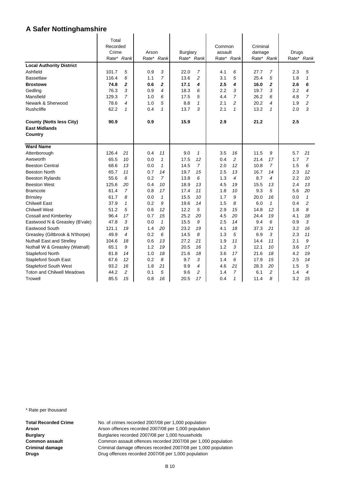|                                   | Total      |                |       |                  |          |                |         |                  |          |                |       |                |
|-----------------------------------|------------|----------------|-------|------------------|----------|----------------|---------|------------------|----------|----------------|-------|----------------|
|                                   | Recorded   |                |       |                  |          |                | Common  |                  | Criminal |                |       |                |
|                                   | Crime      |                | Arson |                  | Burglary |                | assault |                  | damage   |                | Drugs |                |
|                                   | Rate* Rank |                |       | Rate* Rank       |          | Rate* Rank     | Rate*   | Rank             |          | Rate* Rank     |       | Rate* Rank     |
| <b>Local Authority District</b>   |            |                |       |                  |          |                |         |                  |          |                |       |                |
| Ashfield                          | 101.7      | 5              | 0.9   | 3                | 22.0     | $\overline{7}$ | 4.1     | 6                | 27.7     | 7              | 2.3   | 5              |
| <b>Bassetlaw</b>                  | 116.4      | 6              | 1.1   | $\overline{7}$   | 13.6     | $\overline{c}$ | 3.1     | 5                | 25.4     | 5              | 1.8   | $\mathbf{1}$   |
| <b>Broxtowe</b>                   | 74.8       | $\overline{2}$ | 0.6   | $\overline{2}$   | 17.1     | 4              | 2.5     | $\boldsymbol{4}$ | 16.0     | $\overline{2}$ | 2.6   | 6              |
| Gedling                           | 76.3       | 3              | 0.9   | $\boldsymbol{4}$ | 18.3     | 6              | 2.2     | 3                | 19.7     | 3              | 2.2   | 4              |
| Mansfield                         | 129.3      | $\overline{7}$ | 1.0   | 6                | 17.5     | 5              | 4.4     | $\overline{7}$   | 26.2     | 6              | 4.8   | $\overline{7}$ |
| Newark & Sherwood                 | 78.6       | 4              | 1.0   | 5                | 8.8      | 1              | 2.1     | $\overline{c}$   | 20.2     | 4              | 1.9   | 2              |
| <b>Rushcliffe</b>                 | 62.2       | $\mathbf{1}$   | 0.4   | 1                | 13.7     | 3              | 2.1     | $\mathbf{1}$     | 13.2     | $\mathbf{1}$   | 2.0   | 3              |
| <b>County (Notts less City)</b>   | 90.9       |                | 0.9   |                  | 15.9     |                | 2.9     |                  | 21.2     |                | 2.5   |                |
| <b>East Midlands</b>              |            |                |       |                  |          |                |         |                  |          |                |       |                |
| Country                           |            |                |       |                  |          |                |         |                  |          |                |       |                |
| <b>Ward Name</b>                  |            |                |       |                  |          |                |         |                  |          |                |       |                |
| Attenborough                      | 126.4      | 21             | 0.4   | 11               | 9.0      | $\mathbf{1}$   | 3.5     | 16               | 11.5     | 9              | 5.7   | 21             |
| Awsworth                          | 65.5       | 10             | 0.0   | $\mathcal I$     | 17.5     | 12             | 0.4     | $\overline{c}$   | 21.4     | 17             | 1.7   | $\overline{7}$ |
| <b>Beeston Central</b>            | 68.6       | 13             | 0.0   | $\mathbf{1}$     | 14.5     | $\overline{7}$ | 2.0     | 12               | 10.8     | $\overline{7}$ | 1.5   | 6              |
| <b>Beeston North</b>              | 65.7       | 11             | 0.7   | 14               | 19.7     | 15             | 2.5     | 13               | 16.7     | 14             | 2.3   | 12             |
| <b>Beeston Rylands</b>            | 55.6       | 6              | 0.2   | $\overline{7}$   | 13.8     | 6              | 1.3     | $\overline{4}$   | 8.7      | $\overline{4}$ | 2.2   | 10             |
| <b>Beeston West</b>               | 125.6      | 20             | 0.4   | 10               | 18.9     | 13             | 4.5     | 19               | 15.5     | 13             | 2.4   | 13             |
| <b>Bramcote</b>                   | 61.4       | $\overline{7}$ | 0.8   | 17               | 17.4     | 11             | 1.8     | 10               | 9.3      | 5              | 5.6   | 20             |
| <b>Brinsley</b>                   | 61.7       | 8              | 0.0   | $\mathcal I$     | 15.5     | 10             | 1.7     | 9                | 20.0     | 16             | 0.0   | $\mathbf{1}$   |
| <b>Chilwell East</b>              | 37.9       | $\mathbf{1}$   | 0.2   | 9                | 19.6     | 14             | 1.5     | 8                | 6.0      | $\mathbf{1}$   | 0.4   | 2              |
| <b>Chilwell West</b>              | 51.2       | 5              | 0.6   | 12               | 12.2     | 5              | 2.9     | 15               | 14.8     | 12             | 1.8   | 8              |
| <b>Cossall and Kimberley</b>      | 96.4       | 17             | 0.7   | 15               | 25.2     | 20             | 4.5     | 20               | 24.4     | 19             | 4.1   | 18             |
| Eastwood N & Greasley (B'vale)    | 47.8       | 3              | 0.0   | $\mathbf{1}$     | 15.5     | 9              | 2.5     | 14               | 9.4      | 6              | 0.9   | 3              |
| Eastwood South                    | 121.1      | 19             | 1.4   | 20               | 23.2     | 19             | 4.1     | 18               | 37.3     | 21             | 3.2   | 16             |
| Greasley (Giltbrook & N'thorpe)   | 49.9       | 4              | 0.2   | 6                | 14.5     | 8              | 1.3     | 5                | 6.9      | 3              | 2.3   | 11             |
| <b>Nuthall East and Strelley</b>  | 104.6      | 18             | 0.6   | 13               | 27.2     | 21             | 1.9     | 11               | 14.4     | 11             | 2.1   | 9              |
| Nuthall W & Greasley (Watnall)    | 65.1       | 9              | 1.2   | 19               | 20.5     | 16             | 1.2     | 3                | 12.1     | 10             | 3.6   | 17             |
| Stapleford North                  | 81.8       | 14             | 1.0   | 18               | 21.6     | 18             | 3.6     | 17               | 21.6     | 18             | 4.2   | 19             |
| <b>Stapleford South East</b>      | 67.6       | 12             | 0.2   | 8                | 9.7      | 3              | 1.4     | 6                | 17.9     | 15             | 2.5   | 14             |
| <b>Stapleford South West</b>      | 93.2       | 16             | 1.8   | 21               | 9.9      | 4              | 4.6     | 21               | 28.3     | 20             | 1.5   | 5              |
| <b>Toton and Chilwell Meadows</b> | 44.2       | 2              | 0.1   | 5                | 9.6      | 2              | 1.4     | $\overline{7}$   | 6.1      | $\overline{c}$ | 1.4   | 4              |
| Trowell                           | 85.5       | 15             | 0.8   | 16               | 20.5     | 17             | 0.4     | 1                | 11.4     | 8              | 3.2   | 15             |

\* Rate per thousand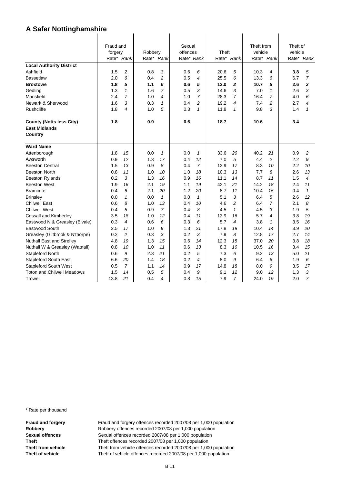|                                   | Fraud and |                |            |                | Sexual     |                |       |                | Theft from |                | Theft of |                |
|-----------------------------------|-----------|----------------|------------|----------------|------------|----------------|-------|----------------|------------|----------------|----------|----------------|
|                                   | forgery   |                | Robbery    |                | offences   |                | Theft |                | vehicle    |                | vehicle  |                |
|                                   |           | Rate* Rank     | Rate* Rank |                | Rate* Rank |                |       | Rate* Rank     |            | Rate* Rank     |          | Rate* Rank     |
| <b>Local Authority District</b>   |           |                |            |                |            |                |       |                |            |                |          |                |
| Ashfield                          | 1.5       | $\overline{c}$ | 0.8        | 3              | 0.6        | 6              | 20.6  | 5              | 10.3       | $\overline{4}$ | 3.8      | 5              |
| <b>Bassetlaw</b>                  | 2.0       | 6              | 0.4        | $\overline{c}$ | 0.5        | 4              | 25.5  | 6              | 13.3       | 6              | 6.7      | $\overline{7}$ |
| <b>Broxtowe</b>                   | 1.8       | 5              | 1.1        | 6              | 0.6        | 5              | 12.0  | $\overline{a}$ | 10.7       | 5              | 2.6      | $\overline{c}$ |
| Gedling                           | 1.3       | $\mathbf{1}$   | 1.6        | $\overline{7}$ | 0.5        | 3              | 14.6  | 3              | 7.0        | $\mathbf{1}$   | 2.6      | 3              |
| Mansfield                         | 2.4       | $\overline{7}$ | 1.0        | 4              | 1.0        | $\overline{7}$ | 28.3  | $\overline{7}$ | 16.4       | 7              | 4.0      | 6              |
| Newark & Sherwood                 | 1.6       | 3              | 0.3        | 1              | 0.4        | 2              | 19.2  | 4              | 7.4        | 2              | 2.7      | 4              |
| <b>Rushcliffe</b>                 | 1.8       | 4              | 1.0        | 5              | 0.3        | $\mathbf{1}$   | 11.8  | $\mathbf{1}$   | 9.8        | 3              | 1.4      | $\mathbf{1}$   |
| <b>County (Notts less City)</b>   | 1.8       |                | 0.9        |                | 0.6        |                | 18.7  |                | 10.6       |                | 3.4      |                |
| <b>East Midlands</b>              |           |                |            |                |            |                |       |                |            |                |          |                |
| Country                           |           |                |            |                |            |                |       |                |            |                |          |                |
|                                   |           |                |            |                |            |                |       |                |            |                |          |                |
| <b>Ward Name</b>                  |           |                |            |                |            |                |       |                |            |                |          |                |
| Attenborough                      | 1.8       | 15             | 0.0        | $\mathcal I$   | 0.0        | $\mathbf{1}$   | 33.6  | 20             | 40.2       | 21             | 0.9      | 2              |
| Awsworth                          | 0.9       | 12             | 1.3        | 17             | 0.4        | 12             | 7.0   | 5              | 4.4        | $\overline{c}$ | 2.2      | 9              |
| <b>Beeston Central</b>            | 1.5       | 13             | 0.9        | 8              | 0.4        | $\overline{7}$ | 13.9  | 17             | 8.3        | 10             | 2.2      | 10             |
| <b>Beeston North</b>              | 0.8       | 11             | 1.0        | 10             | 1.0        | 18             | 10.3  | 13             | 7.7        | 8              | 2.6      | 13             |
| <b>Beeston Rylands</b>            | 0.2       | 3              | 1.3        | 16             | 0.9        | 16             | 11.1  | 14             | 8.7        | 11             | 1.5      | 4              |
| <b>Beeston West</b>               | 1.9       | 16             | 2.1        | 19             | 1.1        | 19             | 42.1  | 21             | 14.2       | 18             | 2.4      | 11             |
| <b>Bramcote</b>                   | 0.4       | 6              | 2.1        | 20             | 1.2        | 20             | 8.7   | 11             | 10.4       | 15             | 0.4      | $\mathbf{1}$   |
| <b>Brinsley</b>                   | 0.0       | $\mathbf{1}$   | 0.0        | $\mathbf{1}$   | 0.0        | $\mathbf{1}$   | 5.1   | 3              | 6.4        | 5              | 2.6      | 12             |
| <b>Chilwell East</b>              | 0.6       | 8              | 1.0        | 13             | 0.4        | 10             | 4.6   | $\overline{c}$ | 6.4        | $\overline{7}$ | 2.1      | 8              |
| <b>Chilwell West</b>              | 0.4       | 5              | 0.9        | $\overline{7}$ | 0.4        | 8              | 4.5   | $\mathbf{1}$   | 4.5        | 3              | 1.9      | 5              |
| <b>Cossall and Kimberley</b>      | 3.5       | 18             | 1.0        | 12             | 0.4        | 11             | 13.9  | 16             | 5.7        | 4              | 3.8      | 19             |
| Eastwood N & Greasley (B'vale)    | 0.3       | 4              | 0.6        | 6              | 0.3        | 6              | 5.7   | 4              | 3.8        | $\mathbf{1}$   | 3.5      | 16             |
| Eastwood South                    | 2.5       | 17             | 1.0        | 9              | 1.3        | 21             | 17.8  | 19             | 10.4       | 14             | 3.9      | 20             |
| Greasley (Giltbrook & N'thorpe)   | 0.2       | $\overline{c}$ | 0.3        | 3              | 0.2        | 3              | 7.9   | 8              | 12.8       | 17             | 2.7      | 14             |
| Nuthall East and Strelley         | 4.8       | 19             | 1.3        | 15             | 0.6        | 14             | 12.3  | 15             | 37.0       | 20             | 3.8      | 18             |
| Nuthall W & Greasley (Watnall)    | 0.8       | 10             | 1.0        | 11             | 0.6        | 13             | 8.3   | 10             | 10.5       | 16             | 3.4      | 15             |
| Stapleford North                  | 0.6       | 9              | 2.3        | 21             | 0.2        | 5              | 7.3   | 6              | 9.2        | 13             | 5.0      | 21             |
| <b>Stapleford South East</b>      | 6.6       | 20             | 1.4        | 18             | 0.2        | 4              | 8.0   | 9              | 6.4        | 6              | 1.9      | 6              |
| <b>Stapleford South West</b>      | 0.5       | $\overline{7}$ | 1.1        | 14             | 0.9        | 17             | 14.8  | 18             | 8.0        | 9              | 3.5      | 17             |
| <b>Toton and Chilwell Meadows</b> | 1.5       | 14             | 0.5        | 5              | 0.4        | 9              | 9.1   | 12             | 9.0        | 12             | 1.3      | 3              |
| Trowell                           | 13.8      | 21             | 0.4        | 4              | 0.8        | 15             | 7.9   | $\overline{7}$ | 24.0       | 19             | 2.0      | 7              |

\* Rate per thousand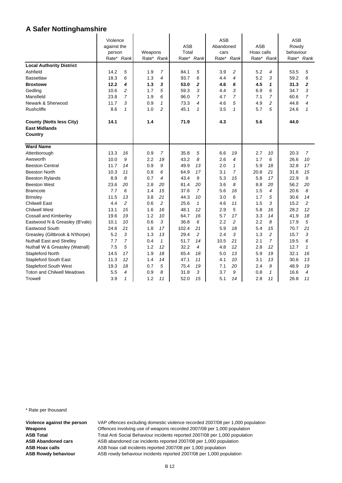|                                   | Violence    |                |            |                |            |                | <b>ASB</b> |                |            |                | ASB       |                |
|-----------------------------------|-------------|----------------|------------|----------------|------------|----------------|------------|----------------|------------|----------------|-----------|----------------|
|                                   | against the |                |            |                | ASB        |                | Abandoned  |                | <b>ASB</b> |                | Rowdy     |                |
|                                   | person      |                | Weapons    |                | Total      |                | cars       |                | Hoax calls |                | behaviour |                |
|                                   |             | Rate* Rank     | Rate* Rank |                | Rate* Rank |                |            | Rate* Rank     | Rate* Rank |                |           | Rate* Rank     |
| <b>Local Authority District</b>   |             |                |            |                |            |                |            |                |            |                |           |                |
| Ashfield                          | 14.2        | 5              | 1.9        | $\overline{7}$ | 84.1       | 5              | 3.9        | $\overline{c}$ | 5.2        | 4              | 53.5      | 5              |
| <b>Bassetlaw</b>                  | 18.3        | 6              | 1.3        | 4              | 93.7       | 6              | 4.4        | 4              | 5.2        | 3              | 59.2      | 6              |
| <b>Broxtowe</b>                   | 12.2        | 4              | 1.3        | 3              | 53.0       | 2              | 4.6        | 6              | 4.5        | 1              | 31.3      | $\overline{2}$ |
| Gedling                           | 10.6        | $\overline{c}$ | 1.7        | 5              | 59.3       | 3              | 4.4        | 3              | 6.9        | 6              | 34.7      | 3              |
| Mansfield                         | 23.8        | $\overline{7}$ | 1.9        | 6              | 96.0       | 7              | 4.7        | $\overline{7}$ | 7.1        | 7              | 60.6      | $\overline{7}$ |
| Newark & Sherwood                 | 11.7        | 3              | 0.9        | 1              | 73.3       | 4              | 4.6        | 5              | 4.9        | 2              | 44.8      | 4              |
| <b>Rushcliffe</b>                 | 8.6         | $\mathbf{1}$   | 1.0        | $\overline{a}$ | 45.1       | $\mathbf{1}$   | 3.5        | $\mathbf{1}$   | 5.7        | 5              | 24.6      | 1              |
| <b>County (Notts less City)</b>   | 14.1        |                | 1.4        |                | 71.9       |                | 4.3        |                | 5.6        |                | 44.0      |                |
| <b>East Midlands</b>              |             |                |            |                |            |                |            |                |            |                |           |                |
| Country                           |             |                |            |                |            |                |            |                |            |                |           |                |
| <b>Ward Name</b>                  |             |                |            |                |            |                |            |                |            |                |           |                |
| Attenborough                      | 13.3        | 16             | 0.9        | $\overline{7}$ | 35.8       | 5              | 6.6        | 19             | 2.7        | 10             | 20.3      | $\overline{7}$ |
| Awsworth                          | 10.0        | 9              | 2.2        | 19             | 43.2       | 8              | 2.6        | 4              | 1.7        | 6              | 26.6      | 10             |
| <b>Beeston Central</b>            | 11.7        | 14             | 0.9        | 9              | 49.9       | 13             | 2.0        | 1              | 5.9        | 18             | 32.8      | 17             |
| <b>Beeston North</b>              | 10.3        | 11             | 0.8        | 6              | 64.9       | 17             | 3.1        | $\overline{7}$ | 20.8       | 21             | 31.6      | 15             |
| <b>Beeston Rylands</b>            | 8.9         | 8              | 0.7        | 4              | 43.4       | 9              | 5.3        | 15             | 5.8        | 17             | 22.9      | 9              |
| <b>Beeston West</b>               | 23.6        | 20             | 2.8        | 20             | 81.4       | 20             | 3.6        | 8              | 8.8        | 20             | 56.2      | 20             |
| <b>Bramcote</b>                   | 7.7         | 6              | 1.4        | 15             | 37.6       | 7              | 5.6        | 16             | 1.5        | 4              | 20.6      | 8              |
| <b>Brinsley</b>                   | 11.5        | 13             | 3.8        | 21             | 44.3       | 10             | 3.0        | 6              | 1.7        | 5              | 30.6      | 14             |
| <b>Chilwell East</b>              | 4.4         | $\overline{c}$ | 0.6        | $\overline{c}$ | 25.6       | $\mathbf{1}$   | 4.6        | 11             | 1.5        | 3              | 15.2      | $\overline{a}$ |
| <b>Chilwell West</b>              | 13.1        | 15             | 1.6        | 16             | 48.1       | 12             | 2.9        | 5              | 5.8        | 16             | 28.2      | 12             |
| Cossall and Kimberley             | 19.6        | 19             | 1.2        | 10             | 64.7       | 16             | 5.7        | 17             | 3.3        | 14             | 41.9      | 18             |
| Eastwood N & Greasley (B'vale)    | 10.1        | 10             | 0.6        | 3              | 36.8       | 6              | 2.2        | $\overline{c}$ | 2.2        | 8              | 17.9      | 5              |
| Eastwood South                    | 24.6        | 21             | 1.8        | 17             | 102.4      | 21             | 5.9        | 18             | 5.4        | 15             | 70.7      | 21             |
| Greasley (Giltbrook & N'thorpe)   | 5.2         | 3              | 1.3        | 13             | 29.4       | $\overline{c}$ | 2.4        | 3              | 1.3        | $\overline{c}$ | 15.7      | 3              |
| <b>Nuthall East and Strelley</b>  | 7.7         | $\overline{7}$ | 0.4        | 1              | 51.7       | 14             | 10.5       | 21             | 2.1        | 7              | 19.5      | 6              |
| Nuthall W & Greasley (Watnall)    | 7.5         | 5              | 1.2        | 12             | 32.2       | 4              | 4.8        | 12             | 2.8        | 12             | 12.7      | $\mathbf{1}$   |
| Stapleford North                  | 14.5        | 17             | 1.9        | 18             | 65.4       | 18             | 5.0        | 13             | 5.9        | 19             | 32.1      | 16             |
| <b>Stapleford South East</b>      | 11.3        | 12             | 1.4        | 14             | 47.1       | 11             | 4.1        | 10             | 3.1        | 13             | 30.6      | 13             |
| <b>Stapleford South West</b>      | 19.3        | 18             | 0.7        | 5              | 75.4       | 19             | 7.1        | 20             | 2.4        | 9              | 48.9      | 19             |
| <b>Toton and Chilwell Meadows</b> | 5.5         | 4              | 0.9        | 8              | 31.8       | 3              | 3.7        | 9              | 0.8        | $\mathbf{1}$   | 16.6      | 4              |
| <b>Trowell</b>                    | 3.9         | $\mathbf{1}$   | 1.2        | 11             | 52.0       | 15             | 5.1        | 14             | 2.8        | 11             | 26.8      | 11             |

\* Rate per thousand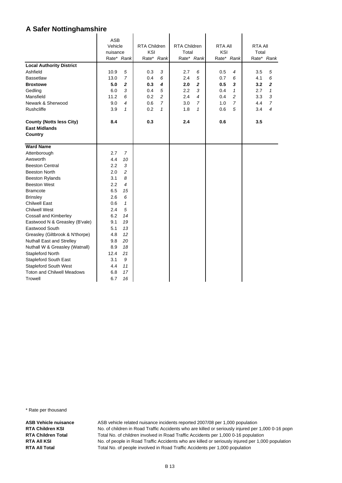|                                   | <b>ASB</b> |                |                     |                |                     |                          |         |                |                |                |
|-----------------------------------|------------|----------------|---------------------|----------------|---------------------|--------------------------|---------|----------------|----------------|----------------|
|                                   | Vehicle    |                | <b>RTA Children</b> |                | <b>RTA Children</b> |                          | RTA All |                | <b>RTA AII</b> |                |
|                                   | nuisance   |                | KSI                 |                | Total               |                          | KSI     |                | Total          |                |
|                                   | Rate* Rank |                |                     | Rate* Rank     |                     | Rate* Rank               |         | Rate* Rank     |                | Rate* Rank     |
| <b>Local Authority District</b>   |            |                |                     |                |                     |                          |         |                |                |                |
| Ashfield                          | 10.9       | 5              | 0.3                 | 3              | 2.7                 | 6                        | 0.5     | 4              | 3.5            | 5              |
| <b>Bassetlaw</b>                  | 13.0       | $\overline{7}$ | 0.4                 | 6              | 2.4                 | 5                        | 0.7     | 6              | 4.1            | 6              |
| <b>Broxtowe</b>                   | 5.0        | $\overline{2}$ | 0.3                 | 4              | 2.0                 | $\overline{2}$           | 0.5     | 3              | 3.2            | $\overline{2}$ |
| Gedling                           | 6.0        | 3              | 0.4                 | 5              | 2.2                 | 3                        | 0.4     | $\mathbf{1}$   | 2.7            | $\mathbf{1}$   |
| Mansfield                         | 11.2       | 6              | 0.2                 | $\overline{a}$ | 2.4                 | $\overline{\mathcal{A}}$ | 0.4     | $\overline{c}$ | 3.3            | 3              |
| Newark & Sherwood                 | 9.0        | 4              | 0.6                 | $\overline{7}$ | 3.0                 | 7                        | 1.0     | 7              | 4.4            | 7              |
| <b>Rushcliffe</b>                 | 3.9        | $\mathbf{1}$   | 0.2                 | $\mathbf{1}$   | 1.8                 | $\mathbf{1}$             | 0.6     | 5              | 3.4            | 4              |
| <b>County (Notts less City)</b>   | 8.4        |                | 0.3                 |                | 2.4                 |                          | 0.6     |                | 3.5            |                |
| <b>East Midlands</b>              |            |                |                     |                |                     |                          |         |                |                |                |
| Country                           |            |                |                     |                |                     |                          |         |                |                |                |
|                                   |            |                |                     |                |                     |                          |         |                |                |                |
| <b>Ward Name</b>                  |            |                |                     |                |                     |                          |         |                |                |                |
| Attenborough                      | 2.7        | 7              |                     |                |                     |                          |         |                |                |                |
| Awsworth                          | 4.4        | 10             |                     |                |                     |                          |         |                |                |                |
| <b>Beeston Central</b>            | 2.2        | 3              |                     |                |                     |                          |         |                |                |                |
| <b>Beeston North</b>              | 2.0        | $\overline{c}$ |                     |                |                     |                          |         |                |                |                |
| <b>Beeston Rylands</b>            | 3.1        | 8              |                     |                |                     |                          |         |                |                |                |
| <b>Beeston West</b>               | $2.2\,$    | 4              |                     |                |                     |                          |         |                |                |                |
| <b>Bramcote</b>                   | 6.5        | 15             |                     |                |                     |                          |         |                |                |                |
| <b>Brinsley</b>                   | 2.6        | 6              |                     |                |                     |                          |         |                |                |                |
| <b>Chilwell East</b>              | 0.6        | 1              |                     |                |                     |                          |         |                |                |                |
| <b>Chilwell West</b>              | 2.4        | 5              |                     |                |                     |                          |         |                |                |                |
| Cossall and Kimberley             | 6.2        | 14             |                     |                |                     |                          |         |                |                |                |
| Eastwood N & Greasley (B'vale)    | 9.1        | 19             |                     |                |                     |                          |         |                |                |                |
| Eastwood South                    | 5.1        | 13             |                     |                |                     |                          |         |                |                |                |
| Greasley (Giltbrook & N'thorpe)   | 4.8        | 12             |                     |                |                     |                          |         |                |                |                |
| Nuthall East and Strelley         | 9.8        | 20             |                     |                |                     |                          |         |                |                |                |
| Nuthall W & Greasley (Watnall)    | 8.9        | 18             |                     |                |                     |                          |         |                |                |                |
| Stapleford North                  | 12.4       | 21             |                     |                |                     |                          |         |                |                |                |
| Stapleford South East             | 3.1        | 9              |                     |                |                     |                          |         |                |                |                |
| <b>Stapleford South West</b>      | 4.4        | 11             |                     |                |                     |                          |         |                |                |                |
| <b>Toton and Chilwell Meadows</b> | 6.8        | 17             |                     |                |                     |                          |         |                |                |                |
| <b>Trowell</b>                    | 6.7        | 16             |                     |                |                     |                          |         |                |                |                |

\* Rate per thousand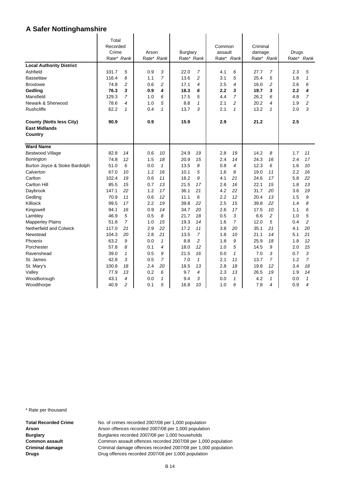|                                 | Total      |                |            |                |            |                |         |                |          |                |                  |                |
|---------------------------------|------------|----------------|------------|----------------|------------|----------------|---------|----------------|----------|----------------|------------------|----------------|
|                                 | Recorded   |                |            |                |            |                | Common  |                | Criminal |                |                  |                |
|                                 | Crime      |                | Arson      |                | Burglary   |                | assault |                | damage   |                | Drugs            |                |
|                                 | Rate* Rank |                | Rate* Rank |                | Rate* Rank |                | Rate*   | Rank           |          | Rate* Rank     |                  | Rate* Rank     |
| <b>Local Authority District</b> |            |                |            |                |            |                |         |                |          |                |                  |                |
| Ashfield                        | 101.7      | 5              | 0.9        | 3              | 22.0       | $\overline{7}$ | 4.1     | 6              | 27.7     | $\overline{7}$ | 2.3              | 5              |
| <b>Bassetlaw</b>                | 116.4      | 6              | 1.1        | $\overline{7}$ | 13.6       | $\overline{c}$ | 3.1     | 5              | 25.4     | 5              | 1.8              | $\mathbf{1}$   |
| <b>Broxtowe</b>                 | 74.8       | 2              | 0.6        | 2              | 17.1       | 4              | 2.5     | 4              | 16.0     | 2              | 2.6              | 6              |
| Gedling                         | 76.3       | 3              | 0.9        | 4              | 18.3       | 6              | 2.2     | 3              | 19.7     | 3              | $2.2\phantom{0}$ | 4              |
| Mansfield                       | 129.3      | $\overline{7}$ | 1.0        | 6              | 17.5       | 5              | 4.4     | $\overline{7}$ | 26.2     | 6              | 4.8              | $\overline{7}$ |
| Newark & Sherwood               | 78.6       | 4              | 1.0        | 5              | 8.8        | $\mathbf{1}$   | 2.1     | $\overline{c}$ | 20.2     | 4              | 1.9              | $\overline{c}$ |
| <b>Rushcliffe</b>               | 62.2       | $\mathbf{1}$   | 0.4        | 1              | 13.7       | 3              | 2.1     | $\mathbf{1}$   | 13.2     | $\mathbf{1}$   | 2.0              | 3              |
| <b>County (Notts less City)</b> | 90.9       |                | 0.9        |                | 15.9       |                | 2.9     |                | 21.2     |                | 2.5              |                |
| <b>East Midlands</b>            |            |                |            |                |            |                |         |                |          |                |                  |                |
| Country                         |            |                |            |                |            |                |         |                |          |                |                  |                |
| <b>Ward Name</b>                |            |                |            |                |            |                |         |                |          |                |                  |                |
| <b>Bestwood Village</b>         | 82.8       | 14             | 0.6        | 10             | 24.9       | 19             | 2.8     | 19             | 14.2     | 8              | 1.7              | 11             |
| Bonington                       | 74.8       | 12             | 1.5        | 18             | 20.9       | 15             | 2.4     | 14             | 24.3     | 16             | 2.4              | 17             |
| Burton Joyce & Stoke Bardolph   | 51.0       | 6              | 0.0        | $\mathbf{1}$   | 13.5       | 8              | 0.8     | $\overline{4}$ | 12.3     | 6              | 1.6              | 10             |
| Calverton                       | 67.0       | 10             | 1.2        | 16             | 10.1       | 5              | 1.6     | 8              | 19.0     | 11             | 2.2              | 16             |
| Carlton                         | 102.4      | 19             | 0.6        | 11             | 16.2       | 9              | 4.1     | 21             | 24.6     | 17             | 5.8              | 22             |
| <b>Carlton Hill</b>             | 85.5       | 15             | 0.7        | 13             | 21.5       | 17             | 2.6     | 16             | 22.1     | 15             | 1.8              | 13             |
| Daybrook                        | 147.1      | 22             | 1.2        | 17             | 36.1       | 21             | 4.2     | 22             | 31.7     | 20             | 3.6              | 19             |
| Gedling                         | 70.9       | 11             | 0.6        | 12             | 11.1       | 6              | 2.2     | 12             | 20.4     | 13             | 1.5              | 9              |
| Killisick                       | 99.5       | 17             | 2.2        | 19             | 39.8       | 22             | 2.5     | 15             | 39.8     | 22             | 1.4              | 8              |
| Kingswell                       | 94.1       | 16             | 0.9        | 14             | 34.7       | 20             | 2.6     | 17             | 17.5     | 10             | 1.1              | 6              |
| Lambley                         | 46.9       | 5              | 0.5        | 8              | 21.7       | 18             | 0.5     | 3              | 6.6      | $\overline{c}$ | 1.0              | 5              |
| <b>Mapperley Plains</b>         | 51.8       | $\overline{7}$ | 1.0        | 15             | 19.3       | 14             | 1.6     | $\overline{7}$ | 12.0     | 5              | 0.4              | 2              |
| Netherfield and Colwick         | 117.0      | 21             | 2.9        | 22             | 17.2       | 11             | 3.8     | 20             | 35.1     | 21             | 4.1              | 20             |
| Newstead                        | 104.3      | 20             | 2.8        | 21             | 13.5       | $\overline{7}$ | 1.8     | 10             | 21.1     | 14             | 5.1              | 21             |
| Phoenix                         | 63.2       | 9              | 0.0        | $\mathcal I$   | 8.8        | $\overline{c}$ | 1.8     | 9              | 25.9     | 18             | 1.8              | 12             |
| Porchester                      | 57.8       | 8              | 0.1        | 4              | 18.0       | 12             | 1.0     | 5              | 14.5     | 9              | 2.0              | 15             |
| Ravenshead                      | 39.0       | $\mathcal I$   | 0.5        | 9              | 21.5       | 16             | 0.0     | $\mathbf{1}$   | 7.0      | 3              | 0.7              | 3              |
| St. James                       | 42.8       | 3              | 0.5        | $\overline{7}$ | 7.0        | $\mathbf{1}$   | 2.1     | 11             | 13.7     | $\overline{7}$ | 1.2              | $\overline{7}$ |
| St. Mary's                      | 100.8      | 18             | 2.4        | 20             | 18.5       | 13             | 2.8     | 18             | 19.8     | 12             | 3.4              | 18             |
| Valley                          | 77.9       | 13             | 0.2        | 6              | 9.7        | 4              | 2.3     | 13             | 26.5     | 19             | 1.9              | 14             |
| Woodborough                     | 43.1       | 4              | 0.0        | $\mathcal I$   | 9.4        | 3              | 0.0     | $\mathbf{1}$   | 4.2      | $\mathbf{1}$   | 0.0              | $\mathbf{1}$   |
| Woodthorpe                      | 40.9       | $\overline{c}$ | 0.1        | 5              | 16.8       | 10             | 1.0     | 6              | 7.8      | 4              | 0.9              | 4              |

\* Rate per thousand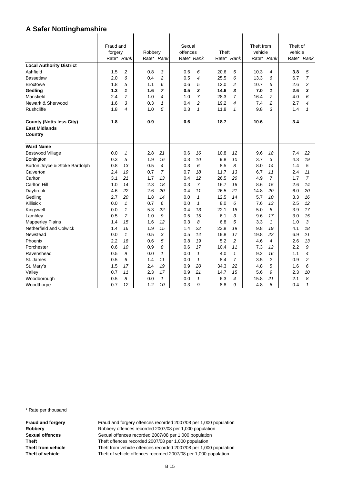|                                 | Fraud and             |                | Robbery    |                     | Sexual<br>offences |                     | Theft        |                | Theft from<br>vehicle |                     | Theft of   |                     |
|---------------------------------|-----------------------|----------------|------------|---------------------|--------------------|---------------------|--------------|----------------|-----------------------|---------------------|------------|---------------------|
|                                 | forgery<br>Rate* Rank |                | Rate*      | Rank                | Rate* Rank         |                     |              | Rate* Rank     | Rate*                 | Rank                | vehicle    | Rate* Rank          |
|                                 |                       |                |            |                     |                    |                     |              |                |                       |                     |            |                     |
| <b>Local Authority District</b> |                       |                |            |                     |                    |                     |              |                |                       |                     |            |                     |
| Ashfield                        | 1.5<br>2.0            | 2<br>6         | 0.8<br>0.4 | 3<br>$\overline{c}$ | 0.6<br>0.5         | 6<br>$\overline{4}$ | 20.6<br>25.5 | 5<br>6         | 10.3<br>13.3          | $\overline{4}$<br>6 | 3.8<br>6.7 | 5<br>$\overline{7}$ |
| <b>Bassetlaw</b>                |                       | 5              |            | 6                   |                    |                     | 12.0         | 2              |                       |                     |            | 2                   |
| <b>Broxtowe</b><br>Gedling      | 1.8<br>1.3            | 1              | 1.1<br>1.6 | $\overline{7}$      | 0.6<br>0.5         | 5<br>3              | 14.6         | 3              | 10.7<br>7.0           | 5<br>1              | 2.6<br>2.6 | 3                   |
| Mansfield                       | 2.4                   | $\overline{7}$ | 1.0        | 4                   | 1.0                | $\overline{7}$      | 28.3         | $\overline{7}$ | 16.4                  | $\overline{7}$      | 4.0        | 6                   |
| Newark & Sherwood               | 1.6                   | 3              | 0.3        | $\mathbf{1}$        | 0.4                | $\overline{c}$      | 19.2         | 4              | 7.4                   | 2                   | 2.7        | 4                   |
|                                 |                       |                |            | 5                   |                    | $\mathbf{1}$        |              | $\mathbf{1}$   |                       | 3                   |            |                     |
| <b>Rushcliffe</b>               | 1.8                   | 4              | 1.0        |                     | 0.3                |                     | 11.8         |                | 9.8                   |                     | 1.4        | $\mathbf{1}$        |
| <b>County (Notts less City)</b> | 1.8                   |                | 0.9        |                     | 0.6                |                     | 18.7         |                | 10.6                  |                     | 3.4        |                     |
| <b>East Midlands</b>            |                       |                |            |                     |                    |                     |              |                |                       |                     |            |                     |
| Country                         |                       |                |            |                     |                    |                     |              |                |                       |                     |            |                     |
| <b>Ward Name</b>                |                       |                |            |                     |                    |                     |              |                |                       |                     |            |                     |
| <b>Bestwood Village</b>         | 0.0                   | $\mathbf{1}$   | 2.8        | 21                  | 0.6                | 16                  | 10.8         | 12             | 9.6                   | 18                  | 7.4        | 22                  |
| Bonington                       | 0.3                   | 5              | 1.9        | 16                  | 0.3                | 10                  | 9.8          | 10             | 3.7                   | 3                   | 4.3        | 19                  |
| Burton Joyce & Stoke Bardolph   | 0.8                   | 13             | 0.5        | 4                   | 0.3                | 6                   | 8.5          | 8              | 8.0                   | 14                  | 1.4        | 5                   |
| Calverton                       | 2.4                   | 19             | 0.7        | $\overline{7}$      | 0.7                | 18                  | 11.7         | 13             | 6.7                   | 11                  | 2.4        | 11                  |
| Carlton                         | 3.1                   | 21             | 1.7        | 13                  | 0.4                | 12                  | 26.5         | 20             | 4.9                   | $\overline{7}$      | 1.7        | $\overline{7}$      |
| <b>Carlton Hill</b>             | 1.0                   | 14             | 2.3        | 18                  | 0.3                | 7                   | 16.7         | 16             | 8.6                   | 15                  | 2.6        | 14                  |
| Daybrook                        | 4.6                   | 22             | 2.6        | 20                  | 0.4                | 11                  | 26.5         | 21             | 14.8                  | 20                  | 6.0        | 20                  |
| Gedling                         | 2.7                   | 20             | 1.8        | 14                  | 0.0                | $\mathcal I$        | 12.5         | 14             | 5.7                   | 10                  | 3.3        | 16                  |
| Killisick                       | 0.0                   | $\mathcal I$   | 0.7        | 6                   | 0.0                | $\mathbf{1}$        | 8.0          | 6              | 7.6                   | 13                  | 2.5        | 12                  |
| Kingswell                       | 0.0                   | $\mathbf{1}$   | 5.3        | 22                  | 0.4                | 13                  | 22.1         | 18             | 5.0                   | 8                   | 3.9        | 17                  |
| Lambley                         | 0.5                   | $\overline{7}$ | 1.0        | 9                   | 0.5                | 15                  | 6.1          | 3              | 9.6                   | 17                  | 3.0        | 15                  |
| <b>Mapperley Plains</b>         | 1.4                   | 15             | 1.6        | 12                  | 0.3                | 8                   | 6.8          | 5              | 3.3                   | $\mathbf{1}$        | 1.0        | 3                   |
| <b>Netherfield and Colwick</b>  | 1.4                   | 16             | 1.9        | 15                  | 1.4                | 22                  | 23.8         | 19             | 9.8                   | 19                  | 4.1        | 18                  |
| Newstead                        | 0.0                   | $\mathbf{1}$   | 0.5        | 3                   | 0.5                | 14                  | 19.8         | 17             | 19.8                  | 22                  | 6.9        | 21                  |
| Phoenix                         | $2.2\,$               | 18             | 0.6        | 5                   | 0.8                | 19                  | 5.2          | 2              | 4.6                   | 4                   | 2.6        | 13                  |
| Porchester                      | 0.6                   | 10             | 0.9        | 8                   | 0.6                | 17                  | 10.4         | 11             | 7.3                   | 12                  | 2.2        | 9                   |
| Ravenshead                      | 0.5                   | 9              | 0.0        | $\mathbf{1}$        | 0.0                | $\mathbf{1}$        | 4.0          | $\mathbf{1}$   | 9.2                   | 16                  | 1.1        | 4                   |
| St. James                       | 0.5                   | 6              | 1.4        | 11                  | 0.0                | $\mathcal I$        | 8.4          | $\overline{7}$ | 3.5                   | 2                   | 0.9        | 2                   |
| St. Mary's                      | 1.5                   | 17             | 2.4        | 19                  | 0.9                | 20                  | 34.3         | 22             | 4.8                   | 5                   | 1.6        | 6                   |
| Valley                          | 0.7                   | 11             | 2.3        | 17                  | 0.9                | 21                  | 14.7         | 15             | 5.6                   | 9                   | 2.3        | 10                  |
| Woodborough                     | 0.5                   | 8              | 0.0        | $\mathbf{1}$        | 0.0                | $\mathbf{1}$        | 6.3          | 4              | 15.8                  | 21                  | 2.1        | 8                   |
| Woodthorpe                      | 0.7                   | 12             | 1.2        | 10                  | 0.3                | 9                   | 8.8          | 9              | 4.8                   | 6                   | 0.4        | $\mathbf{1}$        |

\* Rate per thousand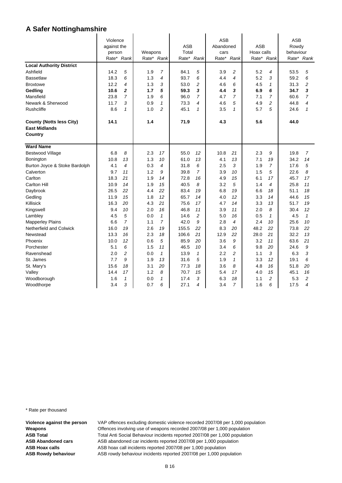|                                 | Violence    |                |         |                |       |                | <b>ASB</b> |                |            |      | <b>ASB</b> |                  |
|---------------------------------|-------------|----------------|---------|----------------|-------|----------------|------------|----------------|------------|------|------------|------------------|
|                                 | against the |                |         |                | ASB   |                | Abandoned  |                | <b>ASB</b> |      | Rowdy      |                  |
|                                 | person      |                | Weapons |                | Total |                | cars       |                | Hoax calls |      | behaviour  |                  |
|                                 |             | Rate* Rank     | Rate*   | Rank           |       | Rate* Rank     | Rate*      | Rank           | Rate*      | Rank | Rate*      | Rank             |
| <b>Local Authority District</b> |             |                |         |                |       |                |            |                |            |      |            |                  |
| Ashfield                        | 14.2        | 5              | 1.9     | 7              | 84.1  | 5              | 3.9        | 2              | 5.2        | 4    | 53.5       | 5                |
| <b>Bassetlaw</b>                | 18.3        | 6              | 1.3     | 4              | 93.7  | 6              | 4.4        | $\overline{4}$ | 5.2        | 3    | 59.2       | 6                |
| <b>Broxtowe</b>                 | 12.2        | 4              | 1.3     | 3              | 53.0  | 2              | 4.6        | 6              | 4.5        | 1    | 31.3       | $\overline{c}$   |
| Gedling                         | 10.6        | 2              | 1.7     | 5              | 59.3  | 3              | 4.4        | 3              | 6.9        | 6    | 34.7       | 3                |
| Mansfield                       | 23.8        | $\overline{7}$ | 1.9     | 6              | 96.0  | $\overline{7}$ | 4.7        | $\overline{7}$ | 7.1        | 7    | 60.6       | $\overline{7}$   |
| Newark & Sherwood               | 11.7        | 3              | 0.9     | $\mathbf{1}$   | 73.3  | 4              | 4.6        | 5              | 4.9        | 2    | 44.8       | $\boldsymbol{4}$ |
| <b>Rushcliffe</b>               | 8.6         | $\mathbf{1}$   | 1.0     | $\overline{2}$ | 45.1  | $\mathbf{1}$   | 3.5        | $\mathbf{1}$   | 5.7        | 5    | 24.6       | $\mathbf{1}$     |
| <b>County (Notts less City)</b> | 14.1        |                | 1.4     |                | 71.9  |                | 4.3        |                | 5.6        |      | 44.0       |                  |
| <b>East Midlands</b>            |             |                |         |                |       |                |            |                |            |      |            |                  |
| Country                         |             |                |         |                |       |                |            |                |            |      |            |                  |
| <b>Ward Name</b>                |             |                |         |                |       |                |            |                |            |      |            |                  |
| <b>Bestwood Village</b>         | 6.8         | 8              | 2.3     | 17             | 55.0  | 12             | 10.8       | 21             | 2.3        | 9    | 19.8       | $\overline{7}$   |
| Bonington                       | 10.8        | 13             | 1.3     | 10             | 61.0  | 13             | 4.1        | 13             | 7.1        | 19   | 34.2       | 14               |
| Burton Joyce & Stoke Bardolph   | 4.1         | 4              | 0.3     | 4              | 31.8  | 6              | 2.5        | 3              | 1.9        | 7    | 17.6       | 5                |
| Calverton                       | 9.7         | 11             | 1.2     | 9              | 39.8  | $\overline{7}$ | 3.9        | 10             | 1.5        | 5    | 22.6       | 8                |
| Carlton                         | 18.3        | 21             | 1.9     | 14             | 72.8  | 16             | 4.9        | 15             | 6.1        | 17   | 45.7       | 17               |
| <b>Carlton Hill</b>             | 10.9        | 14             | 1.9     | 15             | 40.5  | 8              | 3.2        | 5              | 1.4        | 4    | 25.8       | 11               |
| Daybrook                        | 26.5        | 22             | 4.4     | 22             | 83.4  | 19             | 6.8        | 19             | 6.6        | 18   | 51.1       | 18               |
| Gedling                         | 11.9        | 15             | 1.8     | 12             | 65.7  | 14             | 4.0        | 12             | 3.3        | 14   | 44.6       | 15               |
| Killisick                       | 16.3        | 20             | 4.3     | 21             | 75.6  | 17             | 4.7        | 14             | 3.3        | 13   | 51.7       | 19               |
| Kingswell                       | 9.4         | 10             | 2.0     | 16             | 46.8  | 11             | 3.9        | 11             | 2.0        | 8    | 30.4       | 12               |
| Lambley                         | 4.5         | 5              | 0.0     | 1              | 14.6  | $\overline{c}$ | 5.0        | 16             | 0.5        | 1    | 4.5        | $\mathbf{1}$     |
| <b>Mapperley Plains</b>         | 6.6         | 7              | 1.1     | 7              | 42.0  | 9              | 2.8        | 4              | 2.4        | 10   | 25.6       | 10               |
| Netherfield and Colwick         | 16.0        | 19             | 2.6     | 19             | 155.5 | 22             | 8.3        | 20             | 48.2       | 22   | 73.8       | 22               |
| Newstead                        | 13.3        | 16             | 2.3     | 18             | 106.6 | 21             | 12.9       | 22             | 28.0       | 21   | 32.2       | 13               |
| Phoenix                         | 10.0        | 12             | 0.6     | 5              | 85.9  | 20             | 3.6        | 9              | 3.2        | 11   | 63.6       | 21               |
| Porchester                      | 5.1         | 6              | 1.5     | 11             | 46.5  | 10             | 3.4        | 6              | 9.8        | 20   | 24.6       | 9                |
| Ravenshead                      | 2.0         | $\overline{c}$ | 0.0     | $\mathbf{1}$   | 13.9  | $\mathbf{1}$   | 2.2        | $\overline{c}$ | 1.1        | 3    | 6.3        | 3                |
| St. James                       | 7.7         | 9              | 1.9     | 13             | 31.6  | 5              | 1.9        | 1              | 3.3        | 12   | 19.1       | 6                |
| St. Mary's                      | 15.6        | 18             | 3.1     | 20             | 77.3  | 18             | 3.6        | 8              | 4.8        | 16   | 51.8       | 20               |
| Valley                          | 14.4        | 17             | 1.2     | 8              | 70.7  | 15             | 5.4        | 17             | 4.0        | 15   | 45.1       | 16               |
| Woodborough                     | 1.6         | $\mathcal I$   | 0.0     | $\mathbf{1}$   | 17.4  | 3              | 6.3        | 18             | 1.1        | 2    | 5.3        | $\overline{c}$   |
| Woodthorpe                      | 3.4         | 3              | 0.7     | 6              | 27.1  | 4              | 3.4        | $\overline{7}$ | 1.6        | 6    | 17.5       | 4                |

\* Rate per thousand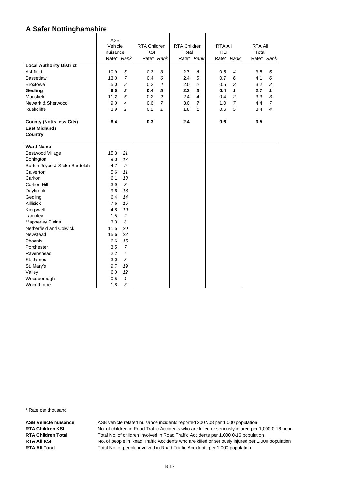|                                                         | <b>ASB</b> |                |                     |                |                     |                |                |                |                |                |
|---------------------------------------------------------|------------|----------------|---------------------|----------------|---------------------|----------------|----------------|----------------|----------------|----------------|
|                                                         | Vehicle    |                | <b>RTA Children</b> |                | <b>RTA Children</b> |                | <b>RTA All</b> |                | <b>RTA All</b> |                |
|                                                         | nuisance   |                | KSI                 |                | Total               |                | KSI            |                | Total          |                |
|                                                         | Rate* Rank |                |                     | Rate* Rank     |                     | Rate* Rank     |                | Rate* Rank     |                | Rate* Rank     |
| <b>Local Authority District</b>                         |            |                |                     |                |                     |                |                |                |                |                |
| Ashfield                                                | 10.9       | 5              | 0.3                 | 3              | 2.7                 | 6              | 0.5            | 4              | 3.5            | 5              |
| <b>Bassetlaw</b>                                        | 13.0       | $\overline{7}$ | 0.4                 | 6              | 2.4                 | 5              | 0.7            | 6              | 4.1            | 6              |
| <b>Broxtowe</b>                                         | 5.0        | $\overline{c}$ | 0.3                 | $\overline{4}$ | 2.0                 | $\overline{c}$ | 0.5            | 3              | 3.2            | 2              |
| Gedling                                                 | 6.0        | 3              | 0.4                 | $\sqrt{5}$     | 2.2                 | 3              | 0.4            | 1              | 2.7            | 1              |
| Mansfield                                               | 11.2       | 6              | 0.2                 | $\overline{c}$ | 2.4                 | 4              | 0.4            | 2              | 3.3            | 3              |
| Newark & Sherwood                                       | 9.0        | $\overline{4}$ | 0.6                 | $\overline{7}$ | 3.0                 | $\overline{7}$ | 1.0            | $\overline{7}$ | 4.4            | $\overline{7}$ |
| <b>Rushcliffe</b>                                       | 3.9        | $\mathbf{1}$   | 0.2                 | $\mathbf{1}$   | 1.8                 | $\mathbf{1}$   | 0.6            | 5              | 3.4            | 4              |
| <b>County (Notts less City)</b><br><b>East Midlands</b> | 8.4        |                | 0.3                 |                | 2.4                 |                | 0.6            |                | 3.5            |                |
| Country                                                 |            |                |                     |                |                     |                |                |                |                |                |
| <b>Ward Name</b>                                        |            |                |                     |                |                     |                |                |                |                |                |
| <b>Bestwood Village</b>                                 | 15.3       | 21             |                     |                |                     |                |                |                |                |                |
| Bonington                                               | 9.0        | 17             |                     |                |                     |                |                |                |                |                |
| Burton Joyce & Stoke Bardolph                           | 4.7        | 9              |                     |                |                     |                |                |                |                |                |
| Calverton                                               | 5.6        | 11             |                     |                |                     |                |                |                |                |                |
| Carlton                                                 | 6.1        | 13             |                     |                |                     |                |                |                |                |                |
| Carlton Hill                                            | 3.9        | 8              |                     |                |                     |                |                |                |                |                |
| Daybrook                                                | 9.6        | 18             |                     |                |                     |                |                |                |                |                |
| Gedling                                                 | 6.4        | 14             |                     |                |                     |                |                |                |                |                |
| Killisick                                               | 7.6        | 16             |                     |                |                     |                |                |                |                |                |
| Kingswell                                               | 4.8        | 10             |                     |                |                     |                |                |                |                |                |
| Lambley                                                 | 1.5        | $\overline{c}$ |                     |                |                     |                |                |                |                |                |
| <b>Mapperley Plains</b>                                 | 3.3        | 6              |                     |                |                     |                |                |                |                |                |
| Netherfield and Colwick                                 | 11.5       | 20             |                     |                |                     |                |                |                |                |                |
| Newstead                                                | 15.6       | 22             |                     |                |                     |                |                |                |                |                |
| Phoenix                                                 | 6.6        | 15             |                     |                |                     |                |                |                |                |                |
| Porchester                                              | 3.5        | $\overline{7}$ |                     |                |                     |                |                |                |                |                |
| Ravenshead                                              | 2.2        | $\overline{4}$ |                     |                |                     |                |                |                |                |                |
| St. James                                               | 3.0        | 5              |                     |                |                     |                |                |                |                |                |
| St. Mary's                                              | 9.7        | 19             |                     |                |                     |                |                |                |                |                |
| Valley                                                  | 6.0        | 12             |                     |                |                     |                |                |                |                |                |
| Woodborough                                             | 0.5        | $\mathbf{1}$   |                     |                |                     |                |                |                |                |                |
| Woodthorpe                                              | 1.8        | 3              |                     |                |                     |                |                |                |                |                |

\* Rate per thousand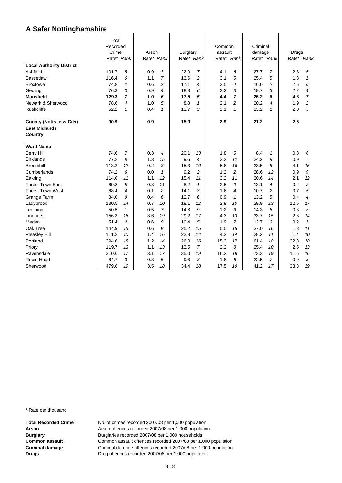|                                                                    | Total<br>Recorded<br>Crime<br>Rate* Rank |                | Arson<br>Rate* Rank |                | Burglary<br>Rate* Rank |                | Common<br>assault<br>Rate* | Rank           | Criminal<br>damage | Rate* Rank     | Drugs | Rate* Rank     |
|--------------------------------------------------------------------|------------------------------------------|----------------|---------------------|----------------|------------------------|----------------|----------------------------|----------------|--------------------|----------------|-------|----------------|
| <b>Local Authority District</b>                                    |                                          |                |                     |                |                        |                |                            |                |                    |                |       |                |
| Ashfield                                                           | 101.7                                    | 5              | 0.9                 | 3              | 22.0                   | $\overline{7}$ | 4.1                        | 6              | 27.7               | 7              | 2.3   | 5              |
| <b>Bassetlaw</b>                                                   | 116.4                                    | 6              | 1.1                 | $\overline{7}$ | 13.6                   | 2              | 3.1                        | 5              | 25.4               | 5              | 1.8   | $\mathbf{1}$   |
| <b>Broxtowe</b>                                                    | 74.8                                     | $\overline{c}$ | 0.6                 | $\overline{c}$ | 17.1                   | 4              | 2.5                        | 4              | 16.0               | $\overline{c}$ | 2.6   | 6              |
| Gedling                                                            | 76.3                                     | 3              | 0.9                 | 4              | 18.3                   | 6              | 2.2                        | 3              | 19.7               | 3              | 2.2   | 4              |
| <b>Mansfield</b>                                                   | 129.3                                    | $\overline{7}$ | 1.0                 | 6              | 17.5                   | 5              | 4.4                        | $\overline{ }$ | 26.2               | 6              | 4.8   | 7              |
| Newark & Sherwood                                                  | 78.6                                     | 4              | 1.0                 | 5              | 8.8                    | 1              | 2.1                        | 2              | 20.2               | 4              | 1.9   | 2              |
| Rushcliffe                                                         | 62.2                                     | $\mathbf{1}$   | 0.4                 | 1              | 13.7                   | 3              | 2.1                        | 1              | 13.2               | $\mathbf{1}$   | 2.0   | 3              |
| <b>County (Notts less City)</b><br><b>East Midlands</b><br>Country | 90.9                                     |                | 0.9                 |                | 15.9                   |                | 2.9                        |                | 21.2               |                | 2.5   |                |
| <b>Ward Name</b>                                                   |                                          |                |                     |                |                        |                |                            |                |                    |                |       |                |
| <b>Berry Hill</b>                                                  | 74.6                                     | $\overline{7}$ | 0.3                 | 4              | 20.1                   | 13             | 1.8                        | 5              | 8.4                | $\mathbf{1}$   | 0.8   | 6              |
| <b>Birklands</b>                                                   | 77.2                                     | 8              | 1.3                 | 15             | 9.6                    | 4              | 3.2                        | 12             | 24.2               | 9              | 0.9   | $\overline{7}$ |
| <b>Broomhill</b>                                                   | 118.2                                    | 12             | 0.2                 | 3              | 15.3                   | 10             | 5.8                        | 16             | 23.5               | 8              | 4.1   | 15             |
| Cumberlands                                                        | 74.2                                     | 6              | 0.0                 | $\mathbf{1}$   | 9.2                    | $\overline{c}$ | 1.2                        | $\overline{c}$ | 28.6               | 12             | 0.9   | 9              |
| Eakring                                                            | 114.0                                    | 11             | 1.1                 | 12             | 15.4                   | 11             | 3.2                        | 11             | 30.6               | 14             | 2.1   | 12             |
| Forest Town East                                                   | 69.8                                     | 5              | 0.8                 | 11             | 8.2                    | $\mathbf{1}$   | 2.5                        | 9              | 13.1               | 4              | 0.2   | $\overline{a}$ |
| <b>Forest Town West</b>                                            | 68.4                                     | 4              | 0.1                 | $\overline{c}$ | 14.1                   | 8              | 1.6                        | $\overline{4}$ | 10.7               | 2              | 0.7   | 5              |
| Grange Farm                                                        | 84.0                                     | 9              | 0.4                 | 6              | 12.7                   | 6              | 0.9                        | $\mathcal I$   | 13.2               | 5              | 0.4   | 4              |
| Ladybrook                                                          | 130.5                                    | 14             | 0.7                 | 10             | 18.1                   | 12             | 2.9                        | 10             | 29.9               | 13             | 12.5  | 17             |
| Leeming                                                            | 50.5                                     | $\mathbf{1}$   | 0.5                 | $\overline{7}$ | 14.8                   | 9              | 1.2                        | 3              | 14.3               | 6              | 0.3   | 3              |
| Lindhurst                                                          | 156.3                                    | 16             | 3.6                 | 19             | 29.2                   | 17             | 4.3                        | 13             | 33.7               | 15             | 2.8   | 14             |
| Meden                                                              | 51.4                                     | 2              | 0.6                 | 9              | 10.4                   | 5              | 1.9                        | $\overline{7}$ | 12.7               | 3              | 0.2   | $\mathbf{1}$   |
| Oak Tree                                                           | 144.9                                    | 15             | 0.6                 | 8              | 25.2                   | 15             | 5.5                        | 15             | 37.0               | 16             | 1.8   | 11             |
| Pleasley Hill                                                      | 111.2                                    | 10             | 1.4                 | 16             | 22.8                   | 14             | 4.3                        | 14             | 28.2               | 11             | 1.4   | 10             |
| Portland                                                           | 394.6                                    | 18             | 1.2                 | 14             | 26.0                   | 16             | 15.2                       | 17             | 61.4               | 18             | 32.3  | 18             |
| Priory                                                             | 119.7                                    | 13             | 1.1                 | 13             | 13.5                   | $\overline{7}$ | 2.2                        | 8              | 25.4               | 10             | 2.5   | 13             |
| Ravensdale                                                         | 310.6                                    | 17             | 3.1                 | 17             | 35.0                   | 19             | 16.2                       | 18             | 73.3               | 19             | 11.6  | 16             |
| Robin Hood                                                         | 64.7                                     | 3              | 0.3                 | 5              | 9.6                    | 3              | 1.8                        | 6              | 22.5               | 7              | 0.9   | 8              |
| Sherwood                                                           | 479.8                                    | 19             | 3.5                 | 18             | 34.4                   | 18             | 17.5                       | 19             | 41.2               | 17             | 33.3  | 19             |

\* Rate per thousand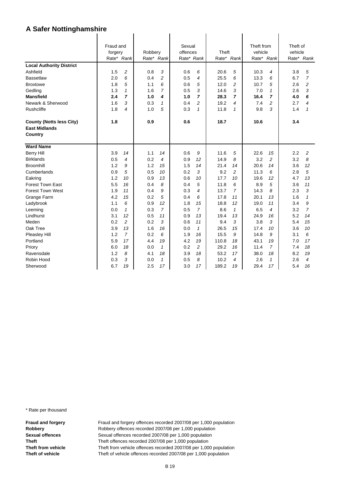|                                                         | Fraud and<br>forgery<br>Rate* Rank |                | Robbery<br>Rate* Rank |                          | Sexual<br>offences<br>Rate* Rank |                | Theft<br>Rate* | Rank           | Theft from<br>vehicle<br>Rate* | Rank           | Theft of<br>vehicle | Rate* Rank     |
|---------------------------------------------------------|------------------------------------|----------------|-----------------------|--------------------------|----------------------------------|----------------|----------------|----------------|--------------------------------|----------------|---------------------|----------------|
| <b>Local Authority District</b>                         |                                    |                |                       |                          |                                  |                |                |                |                                |                |                     |                |
| Ashfield                                                | 1.5                                | 2              | 0.8                   | 3                        | 0.6                              | 6              | 20.6           | 5              | 10.3                           | 4              | 3.8                 | 5              |
| <b>Bassetlaw</b>                                        | 2.0                                | 6              | 0.4                   | $\overline{2}$           | 0.5                              | 4              | 25.5           | 6              | 13.3                           | 6              | 6.7                 | $\overline{7}$ |
| <b>Broxtowe</b>                                         | 1.8                                | 5              | 1.1                   | 6                        | 0.6                              | 5              | 12.0           | 2              | 10.7                           | 5              | 2.6                 | $\overline{c}$ |
| Gedling                                                 | 1.3                                | $\mathbf{1}$   | 1.6                   | $\overline{7}$           | 0.5                              | 3              | 14.6           | 3              | 7.0                            | $\mathcal I$   | 2.6                 | 3              |
| <b>Mansfield</b>                                        | 2.4                                | $\overline{ }$ | 1.0                   | 4                        | 1.0                              | $\overline{ }$ | 28.3           | $\overline{ }$ | 16.4                           | $\overline{7}$ | 4.0                 | 6              |
| Newark & Sherwood                                       | 1.6                                | 3              | 0.3                   | 1                        | 0.4                              | 2              | 19.2           | 4              | 7.4                            | 2              | 2.7                 | 4              |
| Rushcliffe                                              | 1.8                                | 4              | 1.0                   | 5                        | 0.3                              | $\mathbf{1}$   | 11.8           | $\mathbf{1}$   | 9.8                            | 3              | 1.4                 | 1              |
| <b>County (Notts less City)</b><br><b>East Midlands</b> | 1.8                                |                | 0.9                   |                          | 0.6                              |                | 18.7           |                | 10.6                           |                | 3.4                 |                |
| Country                                                 |                                    |                |                       |                          |                                  |                |                |                |                                |                |                     |                |
| <b>Ward Name</b>                                        |                                    |                |                       |                          |                                  |                |                |                |                                |                |                     |                |
| <b>Berry Hill</b>                                       | 3.9                                | 14             | 1.1                   | 14                       | 0.6                              | 9              | 11.6           | 5              | 22.6                           | 15             | 2.2                 | 2              |
| <b>Birklands</b>                                        | 0.5                                | 4              | 0.2                   | $\overline{\mathcal{A}}$ | 0.9                              | 12             | 14.9           | 8              | 3.2                            | $\overline{c}$ | 3.2                 | 8              |
| <b>Broomhill</b>                                        | 1.2                                | 9              | 1.2                   | 15                       | 1.5                              | 14             | 21.4           | 14             | 20.6                           | 14             | 3.6                 | 12             |
| Cumberlands                                             | 0.9                                | 5              | 0.5                   | 10                       | 0.2                              | 3              | 9.2            | $\overline{c}$ | 11.3                           | 6              | 2.8                 | 5              |
| Eakring                                                 | 1.2                                | 10             | 0.9                   | 13                       | 0.6                              | 10             | 17.7           | 10             | 19.6                           | 12             | 4.7                 | 13             |
| <b>Forest Town East</b>                                 | 5.5                                | 16             | 0.4                   | 8                        | 0.4                              | 5              | 11.8           | 6              | 8.9                            | 5              | 3.6                 | 11             |
| <b>Forest Town West</b>                                 | 1.9                                | 11             | 0.4                   | 9                        | 0.3                              | 4              | 13.7           | $\overline{7}$ | 14.3                           | 8              | 2.3                 | 3              |
| Grange Farm                                             | 4.2                                | 15             | 0.2                   | 5                        | 0.4                              | 6              | 17.8           | 11             | 20.1                           | 13             | 1.6                 | 1              |
| Ladybrook                                               | 1.1                                | 6              | 0.9                   | 12                       | 1.8                              | 15             | 18.8           | 12             | 19.0                           | 11             | 3.4                 | 9              |
| Leeming                                                 | 0.0                                | $\mathbf{1}$   | 0.3                   | $\overline{7}$           | 0.5                              | $\overline{7}$ | 8.6            | $\mathbf{1}$   | 6.5                            | 4              | 3.2                 | $\overline{7}$ |
| Lindhurst                                               | 3.1                                | 12             | 0.5                   | 11                       | 0.9                              | 13             | 19.4           | 13             | 24.9                           | 16             | 5.2                 | 14             |
| Meden                                                   | 0.2                                | $\overline{c}$ | 0.2                   | 3                        | 0.6                              | 11             | 9.4            | 3              | 3.8                            | 3              | 5.4                 | 15             |
| Oak Tree                                                | 3.9                                | 13             | 1.6                   | 16                       | 0.0                              | $\mathcal I$   | 26.5           | 15             | 17.4                           | 10             | 3.6                 | 10             |
| <b>Pleasley Hill</b>                                    | 1.2                                | $\overline{7}$ | 0.2                   | 6                        | 1.9                              | 16             | 15.5           | 9              | 14.8                           | 9              | 3.1                 | 6              |
| Portland                                                | 5.9                                | 17             | 4.4                   | 19                       | 4.2                              | 19             | 110.8          | 18             | 43.1                           | 19             | 7.0                 | 17             |
| Priory                                                  | 6.0                                | 18             | 0.0                   | $\mathbf{1}$             | 0.2                              | 2              | 29.2           | 16             | 11.4                           | $\overline{7}$ | 7.4                 | 18             |
| Ravensdale                                              | 1.2                                | 8              | 4.1                   | 18                       | 3.9                              | 18             | 53.2           | 17             | 38.0                           | 18             | 8.2                 | 19             |
| Robin Hood                                              | 0.3                                | 3              | 0.0                   | 1                        | 0.5                              | 8              | 10.2           | 4              | 2.6                            | $\mathbf{1}$   | 2.6                 | 4              |
| Sherwood                                                | 6.7                                | 19             | 2.5                   | 17                       | 3.0                              | 17             | 189.2          | 19             | 29.4                           | 17             | 5.4                 | 16             |

\* Rate per thousand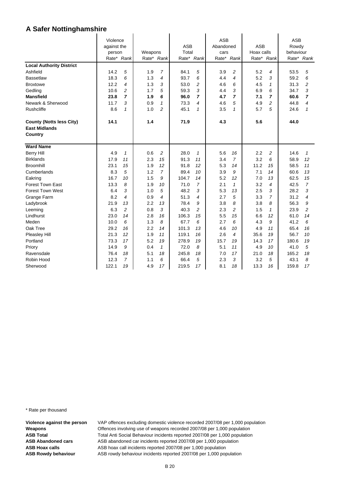| <b>Local Authority District</b><br>Ashfield<br><b>Bassetlaw</b><br><b>Broxtowe</b><br>Gedling | Violence<br>against the<br>person<br>Rate* Rank<br>14.2<br>18.3<br>12.2<br>10.6 | 5<br>6<br>4<br>2 | 1.9<br>1.3<br>1.3<br>1.7 | Weapons<br>Rate* Rank<br>7<br>4<br>3<br>5<br>1.9<br>6<br>0.9<br>1 |              | <b>ASB</b><br>Total<br>Rate* Rank<br>5<br>6<br>2<br>3 | <b>ASB</b><br>Abandoned<br>cars<br>Rate*<br>3.9<br>4.4<br>4.6<br>4.4 | Rank<br>2<br>$\overline{4}$<br>6<br>3 | <b>ASB</b><br>Hoax calls<br>Rate* Rank<br>5.2<br>5.2<br>4.5<br>6.9 | 4<br>3<br>$\mathbf{1}$<br>6 | <b>ASB</b><br>Rowdy<br>behaviour<br>Rate* Rank<br>53.5<br>59.2<br>31.3<br>34.7 | 5<br>6<br>2<br>3 |
|-----------------------------------------------------------------------------------------------|---------------------------------------------------------------------------------|------------------|--------------------------|-------------------------------------------------------------------|--------------|-------------------------------------------------------|----------------------------------------------------------------------|---------------------------------------|--------------------------------------------------------------------|-----------------------------|--------------------------------------------------------------------------------|------------------|
| <b>Mansfield</b><br>Newark & Sherwood                                                         | 23.8<br>11.7                                                                    | 7<br>3           |                          |                                                                   | 96.0<br>73.3 | 7<br>4                                                | 4.7<br>4.6                                                           | $\overline{7}$<br>5                   | 7.1<br>4.9                                                         | 7<br>2                      | 60.6<br>44.8                                                                   | 7<br>4           |
| Rushcliffe                                                                                    | 8.6                                                                             | $\mathbf{1}$     | 1.0                      | 2                                                                 | 45.1         | 1                                                     | 3.5                                                                  | 1                                     | 5.7                                                                | 5                           | 24.6                                                                           | 1                |
| <b>County (Notts less City)</b><br><b>East Midlands</b><br>Country                            | 14.1                                                                            |                  | 1.4                      |                                                                   | 71.9         |                                                       | 4.3                                                                  |                                       | 5.6                                                                |                             | 44.0                                                                           |                  |
| <b>Ward Name</b>                                                                              |                                                                                 |                  |                          |                                                                   |              |                                                       |                                                                      |                                       |                                                                    |                             |                                                                                |                  |
| <b>Berry Hill</b>                                                                             | 4.9                                                                             | $\mathbf{1}$     | 0.6                      | 2                                                                 | 28.0         | 1                                                     | 5.6                                                                  | 16                                    | 2.2                                                                | 2                           | 14.6                                                                           | 1                |
| <b>Birklands</b>                                                                              | 17.9                                                                            | 11               | 2.3                      | 15                                                                | 91.3         | 11                                                    | 3.4                                                                  | $\overline{7}$                        | 3.2                                                                | 6                           | 58.9                                                                           | 12               |
| <b>Broomhill</b>                                                                              | 23.1                                                                            | 15               | 1.9                      | 12                                                                | 91.8         | 12                                                    | 5.3                                                                  | 14                                    | 11.2                                                               | 15                          | 58.5                                                                           | 11               |
| Cumberlands                                                                                   | 8.3                                                                             | 5                | 1.2                      | $\overline{7}$                                                    | 89.4         | 10                                                    | 3.9                                                                  | 9                                     | 7.1                                                                | 14                          | 60.6                                                                           | 13               |
| Eakring                                                                                       | 16.7                                                                            | 10               | 1.5                      | 9                                                                 | 104.7        | 14                                                    | 5.2                                                                  | 12                                    | 7.0                                                                | 13                          | 62.5                                                                           | 15               |
| <b>Forest Town East</b>                                                                       | 13.3                                                                            | 8                | 1.9                      | 10                                                                | 71.0         | 7                                                     | 2.1                                                                  | 1                                     | 3.2                                                                | 4                           | 42.5                                                                           | $\overline{7}$   |
| <b>Forest Town West</b>                                                                       | 6.4<br>8.2                                                                      | 3<br>4           | 1.0<br>0.9               | 5<br>4                                                            | 48.2<br>51.3 | 3<br>4                                                | 5.3<br>2.7                                                           | 13<br>5                               | 2.5<br>3.3                                                         | 3<br>7                      | 28.2<br>31.2                                                                   | 3<br>4           |
| Grange Farm<br>Ladybrook                                                                      | 21.9                                                                            | 13               | 2.2                      | 13                                                                | 78.4         | 9                                                     | 3.8                                                                  | 8                                     | 3.8                                                                | 8                           | 56.3                                                                           | 9                |
| Leeming                                                                                       | 6.3                                                                             | 2                | 0.8                      | 3                                                                 | 40.3         | 2                                                     | 2.3                                                                  | $\overline{c}$                        | 1.5                                                                | $\mathbf{1}$                | 23.9                                                                           | 2                |
| Lindhurst                                                                                     | 23.0                                                                            | 14               | 2.8                      | 16                                                                | 106.3        | 15                                                    | 5.5                                                                  | 15                                    | 6.6                                                                | 12                          | 61.0                                                                           | 14               |
| Meden                                                                                         | 10.0                                                                            | 6                | 1.3                      | 8                                                                 | 67.7         | 6                                                     | 2.7                                                                  | 6                                     | 4.3                                                                | 9                           | 41.2                                                                           | 6                |
| Oak Tree                                                                                      | 29.2                                                                            | 16               | 2.2                      | 14                                                                | 101.3        | 13                                                    | 4.6                                                                  | 10                                    | 4.9                                                                | 11                          | 65.4                                                                           | 16               |
| Pleasley Hill                                                                                 | 21.3                                                                            | 12               | 1.9                      | 11                                                                | 119.1        | 16                                                    | 2.6                                                                  | $\overline{4}$                        | 35.6                                                               | 19                          | 56.7                                                                           | 10               |
| Portland                                                                                      | 73.3                                                                            | 17               | 5.2                      | 19                                                                | 278.9        | 19                                                    | 15.7                                                                 | 19                                    | 14.3                                                               | 17                          | 180.6                                                                          | 19               |
| Priory                                                                                        | 14.9                                                                            | 9                | 0.4                      | $\mathbf{1}$                                                      | 72.0         | 8                                                     | 5.1                                                                  | 11                                    | 4.9                                                                | 10                          | 41.0                                                                           | 5                |
| Ravensdale                                                                                    | 76.4                                                                            | 18               | 5.1                      | 18                                                                | 245.8        | 18                                                    | 7.0                                                                  | 17                                    | 21.0                                                               | 18                          | 165.2                                                                          | 18               |
| Robin Hood                                                                                    | 12.3                                                                            | 7                | 1.1                      | 6                                                                 | 66.4         | 5                                                     | 2.3                                                                  | 3                                     | 3.2                                                                | 5                           | 43.1                                                                           | 8                |
| Sherwood                                                                                      | 122.1                                                                           | 19               | 4.9                      | 17                                                                | 219.5        | 17                                                    | 8.1                                                                  | 18                                    | 13.3                                                               | 16                          | 159.8                                                                          | 17               |

 $\ddot{\phantom{a}}$ 

 $\ddot{\phantom{a}}$ 

 $\mathbf{r}$ 

\* Rate per thousand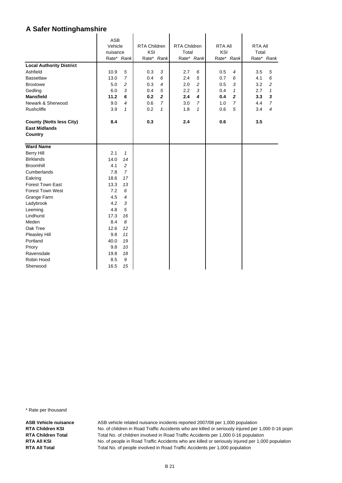|                                 | <b>ASB</b> |                |                     |                |              |                |                |                         |                |                |
|---------------------------------|------------|----------------|---------------------|----------------|--------------|----------------|----------------|-------------------------|----------------|----------------|
|                                 | Vehicle    |                | <b>RTA Children</b> |                | RTA Children |                | <b>RTA All</b> |                         | <b>RTA AII</b> |                |
|                                 | nuisance   |                | KSI                 |                | Total        |                | KSI            |                         | Total          |                |
|                                 | Rate* Rank |                |                     | Rate* Rank     | Rate* Rank   |                |                | Rate* Rank              |                | Rate* Rank     |
| <b>Local Authority District</b> |            |                |                     |                |              |                |                |                         |                |                |
| Ashfield                        | 10.9       | 5              | 0.3                 | 3              | 2.7          | 6              | 0.5            | 4                       | 3.5            | 5              |
| <b>Bassetlaw</b>                | 13.0       | $\overline{7}$ | 0.4                 | 6              | 2.4          | 5              | 0.7            | 6                       | 4.1            | 6              |
| <b>Broxtowe</b>                 | 5.0        | $\overline{c}$ | 0.3                 | $\overline{4}$ | 2.0          | $\overline{c}$ | 0.5            | 3                       | 3.2            | 2              |
| Gedling                         | 6.0        | 3              | 0.4                 | 5              | 2.2          | 3              | 0.4            | 1                       | 2.7            | $\mathbf{1}$   |
| <b>Mansfield</b>                | 11.2       | 6              | 0.2                 | $\overline{2}$ | 2.4          | 4              | 0.4            | $\overline{\mathbf{2}}$ | 3.3            | 3              |
| Newark & Sherwood               | 9.0        | 4              | 0.6                 | $\overline{7}$ | 3.0          | $\overline{7}$ | 1.0            | $\overline{7}$          | 4.4            | $\overline{7}$ |
| Rushcliffe                      | 3.9        | $\mathbf{1}$   | 0.2                 | $\mathbf{1}$   | 1.8          | $\mathbf{1}$   | 0.6            | 5                       | 3.4            | 4              |
| <b>County (Notts less City)</b> | 8.4        |                | 0.3                 |                | 2.4          |                | 0.6            |                         | 3.5            |                |
| <b>East Midlands</b>            |            |                |                     |                |              |                |                |                         |                |                |
| Country                         |            |                |                     |                |              |                |                |                         |                |                |
|                                 |            |                |                     |                |              |                |                |                         |                |                |
| <b>Ward Name</b>                |            |                |                     |                |              |                |                |                         |                |                |
| <b>Berry Hill</b>               | 2.1        | $\mathbf{1}$   |                     |                |              |                |                |                         |                |                |
| <b>Birklands</b>                | 14.0       | 14             |                     |                |              |                |                |                         |                |                |
| <b>Broomhill</b>                | 4.1        | $\overline{c}$ |                     |                |              |                |                |                         |                |                |
| Cumberlands                     | 7.8        | $\overline{7}$ |                     |                |              |                |                |                         |                |                |
| Eakring                         | 18.6       | 17             |                     |                |              |                |                |                         |                |                |
| Forest Town East                | 13.3       | 13             |                     |                |              |                |                |                         |                |                |
| <b>Forest Town West</b>         | 7.2        | 6              |                     |                |              |                |                |                         |                |                |
| Grange Farm                     | 4.5        | 4              |                     |                |              |                |                |                         |                |                |
| Ladybrook                       | 4.2        | 3              |                     |                |              |                |                |                         |                |                |
| Leeming                         | 4.8        | 5              |                     |                |              |                |                |                         |                |                |
| Lindhurst                       | 17.3       | 16             |                     |                |              |                |                |                         |                |                |
| Meden                           | 8.4        | 8              |                     |                |              |                |                |                         |                |                |
| Oak Tree                        | 12.6       | 12             |                     |                |              |                |                |                         |                |                |
| Pleasley Hill                   | 9.8        | 11             |                     |                |              |                |                |                         |                |                |
| Portland                        | 40.0       | 19             |                     |                |              |                |                |                         |                |                |
| Priory                          | 9.8        | 10             |                     |                |              |                |                |                         |                |                |
| Ravensdale                      | 19.8       | 18             |                     |                |              |                |                |                         |                |                |
| Robin Hood                      | 8.5        | 9              |                     |                |              |                |                |                         |                |                |
| Sherwood                        | 16.5       | 15             |                     |                |              |                |                |                         |                |                |

\* Rate per thousand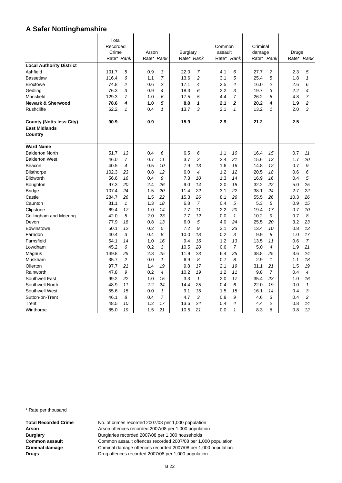|                                                         | Total      |                |            |                |                 |                |         |                |          |                |       |                |
|---------------------------------------------------------|------------|----------------|------------|----------------|-----------------|----------------|---------|----------------|----------|----------------|-------|----------------|
|                                                         | Recorded   |                |            |                |                 |                | Common  |                | Criminal |                |       |                |
|                                                         | Crime      |                | Arson      |                | <b>Burglary</b> |                | assault |                | damage   |                | Drugs |                |
|                                                         | Rate* Rank |                | Rate* Rank |                | Rate* Rank      |                | Rate*   | Rank           |          | Rate* Rank     |       | Rate* Rank     |
| <b>Local Authority District</b>                         |            |                |            |                |                 |                |         |                |          |                |       |                |
| Ashfield                                                | 101.7      | 5              | 0.9        | 3              | 22.0            | 7              | 4.1     | 6              | 27.7     | 7              | 2.3   | 5              |
| <b>Bassetlaw</b>                                        | 116.4      | 6              | 1.1        | $\overline{7}$ | 13.6            | 2              | 3.1     | 5              | 25.4     | 5              | 1.8   | $\mathbf{1}$   |
| <b>Broxtowe</b>                                         | 74.8       | $\overline{c}$ | 0.6        | $\overline{c}$ | 17.1            | 4              | 2.5     | 4              | 16.0     | $\overline{c}$ | 2.6   | 6              |
| Gedling                                                 | 76.3       | 3              | 0.9        | 4              | 18.3            | 6              | 2.2     | 3              | 19.7     | 3              | 2.2   | 4              |
| Mansfield                                               | 129.3      | $\overline{7}$ | 1.0        | 6              | 17.5            | 5              | 4.4     | $\overline{7}$ | 26.2     | 6              | 4.8   | $\overline{7}$ |
| <b>Newark &amp; Sherwood</b>                            | 78.6       | 4              | 1.0        | 5              | 8.8             | 1              | 2.1     | $\overline{2}$ | 20.2     | 4              | 1.9   | $\overline{2}$ |
| <b>Rushcliffe</b>                                       | 62.2       | $\mathbf{1}$   | 0.4        | 1              | 13.7            | 3              | 2.1     | $\mathbf{1}$   | 13.2     | $\mathbf{1}$   | 2.0   | 3              |
| <b>County (Notts less City)</b><br><b>East Midlands</b> | 90.9       |                | 0.9        |                | 15.9            |                | 2.9     |                | 21.2     |                | 2.5   |                |
| Country                                                 |            |                |            |                |                 |                |         |                |          |                |       |                |
| <b>Ward Name</b>                                        |            |                |            |                |                 |                |         |                |          |                |       |                |
| <b>Balderton North</b>                                  | 51.7       | 13             | 0.4        | 6              | 6.5             | 6              | 1.1     | 10             | 16.4     | 15             | 0.7   | 11             |
| <b>Balderton West</b>                                   | 46.0       | $\overline{7}$ | 0.7        | 11             | 3.7             | $\overline{c}$ | 2.4     | 21             | 15.6     | 13             | 1.7   | 20             |
| Beacon                                                  | 40.5       | 4              | 0.5        | 10             | 7.9             | 13             | 1.6     | 16             | 14.8     | 12             | 0.7   | 9              |
| <b>Bilsthorpe</b>                                       | 102.3      | 23             | 0.8        | 12             | 6.0             | 4              | 1.2     | 12             | 20.5     | 18             | 0.6   | 6              |
| <b>Blidworth</b>                                        | 56.6       | 16             | 0.4        | 9              | 7.3             | 10             | 1.3     | 14             | 16.9     | 16             | 0.4   | 5              |
| Boughton                                                | 97.3       | 20             | 2.4        | 26             | 9.0             | 14             | 2.0     | 18             | 32.2     | 22             | 5.0   | 25             |
| <b>Bridge</b>                                           | 107.4      | 24             | 1.5        | 20             | 11.4            | 22             | 3.1     | 22             | 38.1     | 24             | 2.7   | 22             |
| Castle                                                  | 284.7      | 26             | 1.5        | 22             | 15.3            | 26             | 8.1     | 26             | 55.5     | 26             | 10.3  | 26             |
| Caunton                                                 | 31.1       | $\mathbf{1}$   | 1.3        | 18             | 6.8             | $\overline{7}$ | 0.4     | 5              | 5.3      | 5              | 0.9   | 15             |
| Clipstone                                               | 69.4       | 17             | 1.0        | 14             | 7.7             | 11             | 2.2     | 20             | 19.4     | 17             | 0.7   | 10             |
| Collingham and Meering                                  | 42.0       | 5              | 2.0        | 23             | 7.7             | 12             | 0.0     | $\mathbf{1}$   | 10.2     | 9              | 0.7   | 8              |
| Devon                                                   | 77.9       | 18             | 0.8        | 13             | 6.0             | 5              | 4.0     | 24             | 25.5     | 20             | 3.2   | 23             |
| Edwinstowe                                              | 50.1       | 12             | 0.2        | 5              | 7.2             | 9              | 3.1     | 23             | 13.4     | 10             | 0.8   | 13             |
| Farndon                                                 | 40.4       | 3              | 0.4        | 8              | 10.0            | 18             | 0.2     | 3              | 9.9      | 8              | 1.0   | 17             |
| Farnsfield                                              | 54.1       | 14             | 1.0        | 16             | 9.4             | 16             | 1.2     | 13             | 13.5     | 11             | 0.6   | $\overline{7}$ |
| Lowdham                                                 | 45.2       | 6              | 0.2        | 3              | 10.5            | 20             | 0.6     | $\overline{7}$ | 5.0      | 4              | 1.9   | 21             |
| Magnus                                                  | 149.8      | 25             | 2.3        | 25             | 11.9            | 23             | 6.4     | 25             | 38.8     | 25             | 3.6   | 24             |
| Muskham                                                 | 35.7       | $\overline{c}$ | 0.0        | $\mathcal I$   | 6.9             | 8              | 0.7     | 8              | 2.9      | $\mathbf{1}$   | 1.1   | 18             |
| Ollerton                                                | 97.7       | 21             | 1.4        | 19             | 9.8             | 17             | 2.1     | 19             | 31.1     | 21             | 1.5   | 19             |
| Rainworth                                               | 47.8       | 9              | 0.2        | 4              | 10.2            | 19             | 1.2     | 11             | 9.8      | $\overline{7}$ | 0.4   | 4              |
| Southwell East                                          | 99.2       | 22             | 1.0        | 15             | 3.3             | $\mathbf{1}$   | 2.0     | 17             | 35.4     | 23             | 1.0   | 16             |
| Southwell North                                         | 48.9       | 11             | 2.2        | 24             | 14.4            | 25             | 0.4     | 6              | 22.0     | 19             | 0.0   | $\mathbf{1}$   |
| Southwell West                                          | 55.6       | 15             | 0.0        | $\mathbf{1}$   | 9.1             | 15             | 1.5     | 15             | 16.1     | 14             | 0.4   | 3              |
| Sutton-on-Trent                                         | 46.1       | 8              | 0.4        | 7              | 4.7             | 3              | 0.8     | 9              | 4.6      | 3              | 0.4   | 2              |
| Trent                                                   | 48.5       | 10             | 1.2        | 17             | 13.6            | 24             | 0.4     | $\overline{4}$ | 4.4      | 2              | 0.8   | 14             |
| Winthorpe                                               | 85.0       | 19             | 1.5        | 21             | 10.5            | 21             | 0.0     | $\mathbf{1}$   | 8.3      | 6              | 0.8   | 12             |

\* Rate per thousand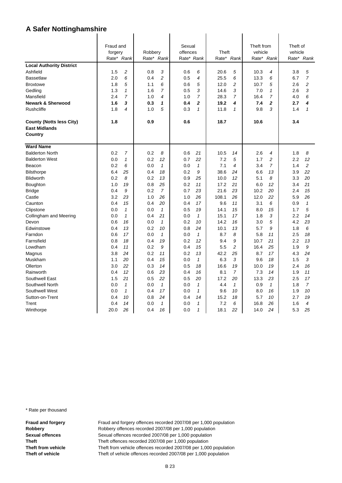|                                                         | Fraud and  |                |         |                  | Sexual     |              |       |                | Theft from |                | Theft of |                |
|---------------------------------------------------------|------------|----------------|---------|------------------|------------|--------------|-------|----------------|------------|----------------|----------|----------------|
|                                                         | forgery    |                | Robbery |                  | offences   |              | Theft |                | vehicle    |                | vehicle  |                |
|                                                         | Rate* Rank |                |         | Rate* Rank       | Rate* Rank |              | Rate* | Rank           |            | Rate* Rank     |          | Rate* Rank     |
| <b>Local Authority District</b>                         |            |                |         |                  |            |              |       |                |            |                |          |                |
| Ashfield                                                | 1.5        | $\overline{c}$ | 0.8     | 3                | 0.6        | 6            | 20.6  | 5              | 10.3       | 4              | 3.8      | 5              |
| <b>Bassetlaw</b>                                        | 2.0        | 6              | 0.4     | $\boldsymbol{2}$ | 0.5        | 4            | 25.5  | 6              | 13.3       | 6              | 6.7      | $\overline{7}$ |
| <b>Broxtowe</b>                                         | 1.8        | 5              | 1.1     | 6                | 0.6        | 5            | 12.0  | $\overline{c}$ | 10.7       | 5              | 2.6      | $\overline{c}$ |
| Gedling                                                 | 1.3        | $\mathbf{1}$   | 1.6     | 7                | 0.5        | 3            | 14.6  | 3              | 7.0        | $\mathcal I$   | 2.6      | 3              |
| Mansfield                                               | 2.4        | $\overline{7}$ | 1.0     | 4                | 1.0        | 7            | 28.3  | $\overline{7}$ | 16.4       | 7              | 4.0      | 6              |
| <b>Newark &amp; Sherwood</b>                            | 1.6        | 3              | 0.3     | 1                | 0.4        | $\mathbf{z}$ | 19.2  | 4              | 7.4        | $\overline{2}$ | 2.7      | 4              |
| Rushcliffe                                              | 1.8        | 4              | 1.0     | 5                | 0.3        | $\mathbf{1}$ | 11.8  | $\mathbf{1}$   | 9.8        | 3              | 1.4      | $\mathbf{1}$   |
| <b>County (Notts less City)</b><br><b>East Midlands</b> | 1.8        |                | 0.9     |                  | 0.6        |              | 18.7  |                | 10.6       |                | 3.4      |                |
| Country                                                 |            |                |         |                  |            |              |       |                |            |                |          |                |
| <b>Ward Name</b>                                        |            |                |         |                  |            |              |       |                |            |                |          |                |
| <b>Balderton North</b>                                  | 0.2        | 7              | 0.2     | 8                | 0.6        | 21           | 10.5  | 14             | 2.6        | 4              | 1.8      | 8              |
| <b>Balderton West</b>                                   | 0.0        | $\mathbf{1}$   | 0.2     | 12               | 0.7        | 22           | 7.2   | 5              | 1.7        | 2              | 2.2      | 12             |
| Beacon                                                  | 0.2        | 6              | 0.0     | $\mathbf{1}$     | 0.0        | $\mathbf{1}$ | 7.1   | 4              | 3.4        | $\overline{7}$ | 1.4      | 2              |
| Bilsthorpe                                              | 6.4        | 25             | 0.4     | 18               | 0.2        | 9            | 38.6  | 24             | 6.6        | 13             | 3.9      | 22             |
| Blidworth                                               | 0.2        | 8              | 0.2     | 13               | 0.9        | 25           | 10.0  | 12             | 5.1        | 8              | 3.3      | 20             |
| Boughton                                                | 1.0        | 19             | 0.8     | 25               | 0.2        | 11           | 17.2  | 21             | 6.0        | 12             | 3.4      | 21             |
| <b>Bridge</b>                                           | 0.4        | 9              | 0.2     | $\overline{7}$   | 0.7        | 23           | 21.6  | 23             | 10.2       | 20             | 2.4      | 15             |
| Castle                                                  | 3.2        | 23             | 1.0     | 26               | 1.0        | 26           | 108.1 | 26             | 12.0       | 22             | 5.9      | 26             |
| Caunton                                                 | 0.4        | 15             | 0.4     | 20               | 0.4        | 17           | 9.6   | 11             | 3.1        | 6              | 0.9      | $\mathcal I$   |
| Clipstone                                               | 0.0        | $\mathbf{1}$   | 0.0     | $\mathbf{1}$     | 0.5        | 19           | 14.1  | 15             | 8.0        | 15             | 1.7      | 5              |
| Collingham and Meering                                  | 0.0        | $\mathbf{1}$   | 0.4     | 21               | 0.0        | $\mathbf{1}$ | 15.1  | 17             | 1.8        | 3              | 2.2      | 14             |
| Devon                                                   | 0.6        | 16             | 0.0     | $\mathbf{1}$     | 0.2        | 10           | 14.2  | 16             | 3.0        | 5              | 4.2      | 23             |
| Edwinstowe                                              | 0.4        | 13             | 0.2     | 10               | 0.8        | 24           | 10.1  | 13             | 5.7        | 9              | 1.8      | 6              |
| Farndon                                                 | 0.6        | 17             | 0.0     | $\mathbf{1}$     | 0.0        | $\mathbf{1}$ | 8.7   | 8              | 5.8        | 11             | 2.5      | 18             |
| Farnsfield                                              | 0.8        | 18             | 0.4     | 19               | 0.2        | 12           | 9.4   | 9              | 10.7       | 21             | 2.2      | 13             |
| Lowdham                                                 | 0.4        | 11             | 0.2     | 9                | 0.4        | 15           | 5.5   | $\overline{c}$ | 16.4       | 25             | 1.9      | 9              |
| Magnus                                                  | 3.8        | 24             | 0.2     | 11               | 0.2        | 13           | 42.2  | 25             | 8.7        | 17             | 4.3      | 24             |
| Muskham                                                 | 1.1        | 20             | 0.4     | 15               | 0.0        | $\mathcal I$ | 6.3   | 3              | 9.6        | 18             | 1.5      | 3              |
| Ollerton                                                | 3.0        | 22             | 0.3     | 14               | 0.5        | 18           | 16.6  | 19             | 10.0       | 19             | 2.4      | 16             |
| Rainworth                                               | 0.4        | 12             | 0.6     | 23               | 0.4        | 16           | 8.1   | $\overline{7}$ | 7.3        | 14             | 1.9      | 11             |
| Southwell East                                          | 1.5        | 21             | 0.5     | 22               | 0.5        | 20           | 17.2  | 20             | 13.3       | 23             | 2.5      | 17             |
| Southwell North                                         | 0.0        | $\mathbf{1}$   | 0.0     | $\mathbf{1}$     | 0.0        | $\mathbf{1}$ | 4.4   | $\mathbf{1}$   | 0.9        | $\mathbf{1}$   | 1.8      | $\overline{7}$ |
| Southwell West                                          | 0.0        | $\mathbf{1}$   | 0.4     | 17               | 0.0        | $\mathbf{1}$ | 9.6   | 10             | 8.0        | 16             | 1.9      | 10             |
| Sutton-on-Trent                                         | 0.4        | 10             | 0.8     | 24               | 0.4        | 14           | 15.2  | 18             | 5.7        | 10             | 2.7      | 19             |
| Trent                                                   | 0.4        | 14             | 0.0     | $\mathbf{1}$     | 0.0        | $\mathcal I$ | 7.2   | 6              | 16.8       | 26             | 1.6      | 4              |
| Winthorpe                                               | 20.0       | 26             | 0.4     | 16               | 0.0        | $\mathbf{1}$ | 18.1  | 22             | 14.0       | 24             | 5.3      | 25             |

\* Rate per thousand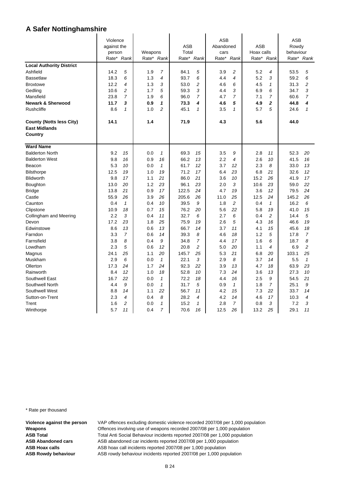|                                 | Violence    |                |         |                |            | ASB            |           |                |            | ASB            |           |                |
|---------------------------------|-------------|----------------|---------|----------------|------------|----------------|-----------|----------------|------------|----------------|-----------|----------------|
|                                 | against the |                |         |                | <b>ASB</b> |                | Abandoned |                | ASB        |                | Rowdy     |                |
|                                 | person      |                | Weapons |                | Total      |                | cars      |                | Hoax calls |                | behaviour |                |
|                                 |             | Rate* Rank     |         | Rate* Rank     | Rate* Rank |                | Rate*     | Rank           |            | Rate* Rank     |           | Rate* Rank     |
| <b>Local Authority District</b> |             |                |         |                |            |                |           |                |            |                |           |                |
| Ashfield                        | 14.2        | 5              | 1.9     | $\overline{7}$ | 84.1       | 5              | 3.9       | $\overline{c}$ | 5.2        | 4              | 53.5      | 5              |
| <b>Bassetlaw</b>                | 18.3        | 6              | 1.3     | 4              | 93.7       | 6              | 4.4       | 4              | 5.2        | 3              | 59.2      | 6              |
| <b>Broxtowe</b>                 | 12.2        | 4              | 1.3     | 3              | 53.0       | 2              | 4.6       | 6              | 4.5        | $\mathbf{1}$   | 31.3      | 2              |
| Gedling                         | 10.6        | $\overline{c}$ | 1.7     | 5              | 59.3       | 3              | 4.4       | 3              | 6.9        | 6              | 34.7      | 3              |
| Mansfield                       | 23.8        | 7              | 1.9     | 6              | 96.0       | 7              | 4.7       | $\overline{7}$ | 7.1        | 7              | 60.6      | $\overline{7}$ |
| <b>Newark &amp; Sherwood</b>    | 11.7        | 3              | 0.9     | 1              | 73.3       | 4              | 4.6       | 5              | 4.9        | 2              | 44.8      | 4              |
| <b>Rushcliffe</b>               | 8.6         | $\mathcal I$   | 1.0     | $\overline{c}$ | 45.1       | $\mathbf{1}$   | 3.5       | $\mathcal I$   | 5.7        | 5              | 24.6      | $\mathbf{1}$   |
| <b>County (Notts less City)</b> | 14.1        |                | 1.4     |                | 71.9       |                | 4.3       |                | 5.6        |                | 44.0      |                |
| <b>East Midlands</b>            |             |                |         |                |            |                |           |                |            |                |           |                |
| Country                         |             |                |         |                |            |                |           |                |            |                |           |                |
| <b>Ward Name</b>                |             |                |         |                |            |                |           |                |            |                |           |                |
| <b>Balderton North</b>          | 9.2         | 15             | 0.0     | $\mathcal I$   | 69.3       | 15             | 3.5       | 9              | 2.8        | 11             | 52.3      | 20             |
| <b>Balderton West</b>           | 9.8         | 16             | 0.9     | 16             | 66.2       | 13             | 2.2       | $\overline{4}$ | 2.6        | 10             | 41.5      | 16             |
| Beacon                          | 5.3         | 10             | 0.0     | $\mathbf{1}$   | 61.7       | 12             | 3.7       | 12             | 2.3        | 8              | 33.0      | 13             |
| <b>Bilsthorpe</b>               | 12.5        | 19             | 1.0     | 19             | 71.2       | 17             | 6.4       | 23             | 6.8        | 21             | 32.6      | 12             |
| <b>Blidworth</b>                | 9.8         | 17             | 1.1     | 21             | 86.0       | 21             | 3.6       | 10             | 15.2       | 26             | 41.9      | 17             |
| Boughton                        | 13.0        | 20             | 1.2     | 23             | 96.1       | 23             | 2.0       | 3              | 10.6       | 23             | 59.0      | 22             |
| <b>Bridge</b>                   | 13.8        | 21             | 0.9     | 17             | 122.5      | 24             | 4.7       | 19             | 3.6        | 12             | 79.5      | 24             |
| Castle                          | 55.9        | 26             | 3.9     | 26             | 205.6      | 26             | 11.0      | 25             | 12.5       | 24             | 145.2     | 26             |
| Caunton                         | 0.4         | $\mathbf{1}$   | 0.4     | 10             | 39.5       | 9              | 1.8       | $\overline{c}$ | 0.4        | $\mathbf{1}$   | 16.2      | 6              |
| Clipstone                       | 10.9        | 18             | 0.7     | 15             | 76.2       | 20             | 5.6       | 22             | 5.8        | 19             | 41.0      | 15             |
| Collingham and Meering          | 2.2         | 3              | 0.4     | 11             | 32.7       | 6              | 2.7       | 6              | 0.4        | 2              | 14.4      | 5              |
| Devon                           | 17.2        | 23             | 1.8     | 25             | 75.9       | 19             | 2.6       | 5              | 4.3        | 16             | 46.6      | 19             |
| Edwinstowe                      | 8.6         | 13             | 0.6     | 13             | 66.7       | 14             | 3.7       | 11             | 4.1        | 15             | 45.6      | 18             |
| Farndon                         | 3.3         | $\overline{7}$ | 0.6     | 14             | 39.3       | 8              | 4.6       | 18             | 1.2        | 5              | 17.8      | $\overline{7}$ |
| Farnsfield                      | 3.8         | 8              | 0.4     | 9              | 34.8       | $\overline{7}$ | 4.4       | 17             | 1.6        | 6              | 18.7      | 8              |
| Lowdham                         | 2.3         | 5              | 0.6     | 12             | 20.8       | $\overline{c}$ | 5.0       | 20             | 1.1        | 4              | 6.9       | 2              |
| Magnus                          | 24.1        | 25             | 1.1     | 20             | 145.7      | 25             | 5.3       | 21             | 6.8        | 20             | 103.1     | 25             |
| Muskham                         | 2.9         | 6              | 0.0     | $\mathbf{1}$   | 22.1       | 3              | 2.9       | 8              | 3.7        | 14             | 5.5       | $\mathbf{1}$   |
| Ollerton                        | 17.3        | 24             | 1.7     | 24             | 92.3       | 22             | 3.9       | 13             | 4.7        | 18             | 63.9      | 23             |
| Rainworth                       | 8.4         | 12             | 1.0     | 18             | 52.8       | 10             | 7.3       | 24             | 3.6        | 13             | 27.3      | 10             |
| Southwell East                  | 16.7        | 22             | 0.0     | $\mathbf{1}$   | 72.2       | 18             | 4.4       | 16             | 2.5        | 9              | 54.5      | 21             |
| Southwell North                 | 4.4         | 9              | 0.0     | 1              | 31.7       | 5              | 0.9       | $\mathbf{1}$   | 1.8        | $\overline{7}$ | 25.1      | 9              |
| Southwell West                  | 8.8         | 14             | 1.1     | 22             | 56.7       | 11             | 4.2       | 15             | 7.3        | 22             | 33.7      | 14             |
| Sutton-on-Trent                 | 2.3         | 4              | 0.4     | 8              | 28.2       | 4              | 4.2       | 14             | 4.6        | 17             | 10.3      | 4              |
| Trent                           | 1.6         | $\overline{c}$ | 0.0     | 1              | 15.2       | $\mathbf{1}$   | 2.8       | $\overline{7}$ | 0.8        | 3              | 7.2       | 3              |
| Winthorpe                       | 5.7         | 11             | 0.4     | 7              | 70.6       | 16             | 12.5      | 26             | 13.2       | 25             | 29.1      | 11             |

\* Rate per thousand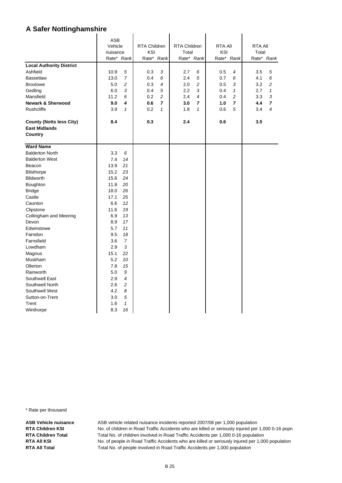|                                 | <b>ASB</b> |                |                     |                |                     |                |                |              |                |                |
|---------------------------------|------------|----------------|---------------------|----------------|---------------------|----------------|----------------|--------------|----------------|----------------|
|                                 | Vehicle    |                | <b>RTA Children</b> |                | <b>RTA Children</b> |                | <b>RTA AII</b> |              | <b>RTA AII</b> |                |
|                                 | nuisance   |                | KSI                 |                | Total               |                | KSI            |              | Total          |                |
|                                 |            | Rate* Rank     |                     | Rate* Rank     |                     | Rate* Rank     |                | Rate* Rank   |                | Rate* Rank     |
| <b>Local Authority District</b> |            |                |                     |                |                     |                |                |              |                |                |
| Ashfield                        | 10.9       | 5              | 0.3                 | 3              | 2.7                 | 6              | 0.5            | 4            | 3.5            | 5              |
| <b>Bassetlaw</b>                | 13.0       | $\overline{7}$ | 0.4                 | 6              | 2.4                 | 5              | 0.7            | 6            | 4.1            | 6              |
| <b>Broxtowe</b>                 | 5.0        | $\overline{c}$ | 0.3                 | 4              | 2.0                 | 2              | 0.5            | 3            | 3.2            | 2              |
| Gedling                         | 6.0        | 3              | 0.4                 | 5              | 2.2                 | 3              | 0.4            | $\mathbf{1}$ | 2.7            | $\mathbf{1}$   |
| Mansfield                       | 11.2       | 6              | 0.2                 | $\overline{2}$ | 2.4                 | $\overline{4}$ | 0.4            | 2            | 3.3            | 3              |
| <b>Newark &amp; Sherwood</b>    | 9.0        | 4              | 0.6                 | $\overline{7}$ | 3.0                 | $\overline{ }$ | 1.0            | 7            | 4.4            | $\overline{ }$ |
| <b>Rushcliffe</b>               | 3.9        | $\mathbf{1}$   | 0.2                 | $\mathbf{1}$   | 1.8                 | $\mathbf{1}$   | 0.6            | 5            | 3.4            | 4              |
|                                 |            |                |                     |                |                     |                |                |              |                |                |
| <b>County (Notts less City)</b> | 8.4        |                | 0.3                 |                | 2.4                 |                | 0.6            |              | 3.5            |                |
| <b>East Midlands</b>            |            |                |                     |                |                     |                |                |              |                |                |
| Country                         |            |                |                     |                |                     |                |                |              |                |                |
|                                 |            |                |                     |                |                     |                |                |              |                |                |
| <b>Ward Name</b>                |            |                |                     |                |                     |                |                |              |                |                |
| <b>Balderton North</b>          | 3.3        | 6              |                     |                |                     |                |                |              |                |                |
| <b>Balderton West</b>           | 7.4        | 14             |                     |                |                     |                |                |              |                |                |
| Beacon                          | 13.9       | 21             |                     |                |                     |                |                |              |                |                |
| <b>Bilsthorpe</b>               | 15.2       | 23             |                     |                |                     |                |                |              |                |                |
| <b>Blidworth</b>                | 15.6       | 24             |                     |                |                     |                |                |              |                |                |
| Boughton                        | 11.8       | 20             |                     |                |                     |                |                |              |                |                |
| <b>Bridge</b>                   | 18.0       | 26             |                     |                |                     |                |                |              |                |                |
| Castle                          | 17.1       | 25             |                     |                |                     |                |                |              |                |                |
| Caunton                         | 6.6        | 12             |                     |                |                     |                |                |              |                |                |
| Clipstone                       | 11.6       | 19             |                     |                |                     |                |                |              |                |                |
| Collingham and Meering          | 6.9        | 13             |                     |                |                     |                |                |              |                |                |
| Devon                           | 8.9        | 17             |                     |                |                     |                |                |              |                |                |
| Edwinstowe                      | 5.7        | 11             |                     |                |                     |                |                |              |                |                |
| Farndon                         | 9.5        | 18             |                     |                |                     |                |                |              |                |                |
| Farnsfield                      | 3.6        | 7              |                     |                |                     |                |                |              |                |                |
| Lowdham                         | 2.9        | 3              |                     |                |                     |                |                |              |                |                |
| Magnus                          | 15.1       | 22             |                     |                |                     |                |                |              |                |                |
| <b>Muskham</b>                  | 5.2        | 10             |                     |                |                     |                |                |              |                |                |
| Ollerton                        | 7.8        | 15             |                     |                |                     |                |                |              |                |                |
| Rainworth                       | 5.0        | 9              |                     |                |                     |                |                |              |                |                |
| Southwell East                  | 2.9        | 4              |                     |                |                     |                |                |              |                |                |
| Southwell North                 | 2.6        | $\overline{c}$ |                     |                |                     |                |                |              |                |                |
| Southwell West                  | 4.2        | 8              |                     |                |                     |                |                |              |                |                |
| Sutton-on-Trent                 | 3.0        | 5              |                     |                |                     |                |                |              |                |                |
| Trent                           | 1.6        | $\mathbf{1}$   |                     |                |                     |                |                |              |                |                |
| Winthorpe                       | 8.3        | 16             |                     |                |                     |                |                |              |                |                |

 $\ddot{\phantom{a}}$ 

 $\ddot{\phantom{a}}$ 

l.

\* Rate per thousand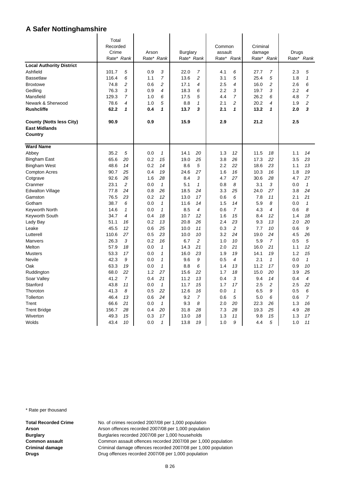|                                 | Total      |                |            |                |            |                 |         |                |          |                |       |                |  |
|---------------------------------|------------|----------------|------------|----------------|------------|-----------------|---------|----------------|----------|----------------|-------|----------------|--|
|                                 | Recorded   |                |            |                |            |                 | Common  |                | Criminal |                |       |                |  |
|                                 | Crime      |                |            | Arson          |            | <b>Burglary</b> | assault |                | damage   |                | Drugs |                |  |
|                                 | Rate* Rank |                | Rate* Rank |                | Rate* Rank |                 | Rate*   | Rank           |          | Rate* Rank     | Rate* | Rank           |  |
| <b>Local Authority District</b> |            |                |            |                |            |                 |         |                |          |                |       |                |  |
| Ashfield                        | 101.7      | 5              | 0.9        | 3              | 22.0       | $\overline{7}$  | 4.1     | 6              | 27.7     | $\overline{7}$ | 2.3   | 5              |  |
| <b>Bassetlaw</b>                | 116.4      | 6              | 1.1        | 7              | 13.6       | $\overline{c}$  | 3.1     | 5              | 25.4     | 5              | 1.8   | $\mathbf{1}$   |  |
| <b>Broxtowe</b>                 | 74.8       | 2              | 0.6        | $\overline{2}$ | 17.1       | 4               | 2.5     | 4              | 16.0     | 2              | 2.6   | 6              |  |
| Gedling                         | 76.3       | 3              | 0.9        | 4              | 18.3       | 6               | 2.2     | 3              | 19.7     | 3              | 2.2   | 4              |  |
| Mansfield                       | 129.3      | $\overline{7}$ | 1.0        | 6              | 17.5       | 5               | 4.4     | $\overline{7}$ | 26.2     | 6              | 4.8   | $\overline{7}$ |  |
| Newark & Sherwood               | 78.6       | 4              | 1.0        | 5              | 8.8        | $\mathbf{1}$    | 2.1     | $\overline{c}$ | 20.2     | 4              | 1.9   | 2              |  |
| <b>Rushcliffe</b>               | 62.2       | 1              | 0.4        | 1              | 13.7       | 3               | 2.1     | 1              | 13.2     | 1              | 2.0   | 3              |  |
|                                 |            |                |            |                |            |                 |         |                |          |                |       |                |  |
| <b>County (Notts less City)</b> | 90.9       |                | 0.9        |                | 15.9       |                 | 2.9     |                | 21.2     |                | 2.5   |                |  |
| <b>East Midlands</b>            |            |                |            |                |            |                 |         |                |          |                |       |                |  |
| Country                         |            |                |            |                |            |                 |         |                |          |                |       |                |  |
| <b>Ward Name</b>                |            |                |            |                |            |                 |         |                |          |                |       |                |  |
| Abbey                           | 35.2       | 5              | 0.0        | $\mathcal I$   | 14.1       | 20              | 1.3     | 12             | 11.5     | 18             | 1.1   | 14             |  |
| <b>Bingham East</b>             | 65.6       | 20             | 0.2        | 15             | 19.0       | 25              | 3.8     | 26             | 17.3     | 22             | 3.5   | 23             |  |
| <b>Bingham West</b>             | 48.6       | 14             | 0.2        | 14             | 8.6        | 5               | 2.2     | 22             | 18.6     | 23             | 1.1   | 13             |  |
| <b>Compton Acres</b>            | 90.7       | 25             | 0.4        | 19             | 24.6       | 27              | 1.6     | 16             | 10.3     | 16             | 1.8   | 19             |  |
| Cotgrave                        | 92.6       | 26             | 1.6        | 28             | 8.4        | 3               | 4.7     | 27             | 30.6     | 28             | 4.7   | 27             |  |
| Cranmer                         | 23.1       | $\overline{c}$ | 0.0        | $\mathbf{1}$   | 5.1        | $\mathbf{1}$    | 0.8     | 8              | 3.1      | 3              | 0.0   | $\mathbf{1}$   |  |
| <b>Edwalton Village</b>         | 77.8       | 24             | 0.8        | 26             | 18.5       | 24              | 3.3     | 25             | 24.0     | 27             | 3.8   | 24             |  |
| Gamston                         | 76.5       | 23             | 0.2        | 12             | 13.0       | 17              | 0.6     | 6              | 7.8      | 11             | 2.1   | 21             |  |
| Gotham                          | 38.7       | 6              | 0.0        | $\mathbf{1}$   | 11.6       | 14              | 1.5     | 14             | 5.9      | 8              | 0.0   | $\mathbf{1}$   |  |
| Keyworth North                  | 14.6       | $\mathcal I$   | 0.0        | $\mathbf{1}$   | 8.5        | 4               | 0.6     | $\overline{7}$ | 4.3      | 4              | 0.6   | 8              |  |
| Keyworth South                  | 34.7       | 4              | 0.4        | 18             | 10.7       | 12              | 1.6     | 15             | 8.4      | 12             | 1.4   | 18             |  |
| Lady Bay                        | 51.1       | 16             | 0.2        | 13             | 20.8       | 26              | 2.4     | 23             | 9.3      | 13             | 2.0   | 20             |  |
| Leake                           | 45.5       | 12             | 0.6        | 25             | 10.0       | 11              | 0.3     | $\overline{c}$ | 7.7      | 10             | 0.6   | 9              |  |
| Lutterell                       | 110.6      | 27             | 0.5        | 23             | 10.0       | 10              | 3.2     | 24             | 19.0     | 24             | 4.5   | 26             |  |
| Manvers                         | 26.3       | 3              | 0.2        | 16             | 6.7        | $\overline{c}$  | 1.0     | 10             | 5.9      | $\overline{7}$ | 0.5   | 5              |  |
| Melton                          | 57.9       | 18             | 0.0        | $\mathbf{1}$   | 14.3       | 21              | 2.0     | 21             | 16.0     | 21             | 1.1   | 12             |  |
| <b>Musters</b>                  | 53.3       | 17             | 0.0        | $\mathbf{1}$   | 16.0       | 23              | 1.9     | 19             | 14.1     | 19             | 1.2   | 15             |  |
| Nevile                          | 42.3       | 9              | 0.0        | $\mathbf{1}$   | 9.6        | 9               | 0.5     | $\overline{4}$ | 2.1      | $\mathbf{1}$   | 0.0   | $\mathbf{1}$   |  |
| Oak                             | 63.3       | 19             | 0.0        | $\mathbf{1}$   | 8.8        | 6               | 1.4     | 13             | 11.2     | 17             | 0.9   | 10             |  |
| Ruddington                      | 68.0       | 22             | 1.2        | 27             | 15.6       | 22              | 1.7     | 18             | 15.0     | 20             | 3.9   | 25             |  |
| Soar Valley                     | 41.2       | $\overline{7}$ | 0.4        | 21             | 11.2       | 13              | 0.4     | 3              | 9.4      | 14             | 0.4   | 4              |  |
| Stanford                        | 43.8       | 11             | 0.0        | $\mathbf{1}$   | 11.7       | 15              | 1.7     | 17             | 2.5      | 2              | 2.5   | 22             |  |
| Thoroton                        | 41.3       | 8              | 0.5        | 22             | 12.6       | 16              | 0.0     | $\mathbf{1}$   | 6.5      | 9              | 0.5   | 6              |  |
| Tollerton                       | 46.4       | 13             | 0.6        | 24             | 9.2        | 7               | 0.6     | 5              | 5.0      | 6              | 0.6   | $\overline{7}$ |  |
| Trent                           | 66.6       | 21             | 0.0        | $\mathbf{1}$   | 9.3        | 8               | 2.0     | 20             | 22.3     | 26             | 1.3   | 16             |  |
| <b>Trent Bridge</b>             | 156.7      | 28             | 0.4        | 20             | 31.8       | 28              | 7.3     | 28             | 19.3     | 25             | 4.9   | 28             |  |
| Wiverton                        | 49.3       | 15             | 0.3        | 17             | 13.0       | 18              | 1.3     | 11             | 9.8      | 15             | 1.3   | 17             |  |
| Wolds                           | 43.4       | 10             | 0.0        | 1              | 13.8       | 19              | 1.0     | 9              | 4.4      | 5              | 1.0   | 11             |  |

\* Rate per thousand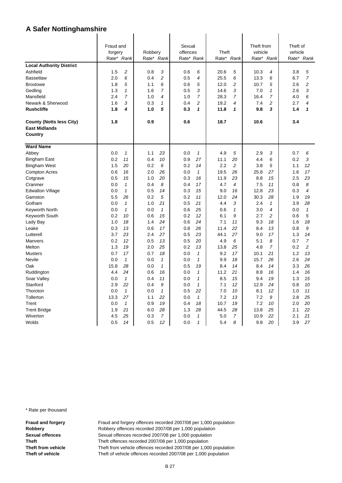|                                 | Fraud and<br>forgery |                    | Robbery    |                | Sexual<br>offences |                              |            |                        | Theft from<br>vehicle |                | Theft of<br>vehicle |                |
|---------------------------------|----------------------|--------------------|------------|----------------|--------------------|------------------------------|------------|------------------------|-----------------------|----------------|---------------------|----------------|
|                                 | Rate* Rank           |                    |            | Rate*<br>Rank  |                    | Rate* Rank                   |            | Theft<br>Rate*<br>Rank |                       | Rate*<br>Rank  |                     | Rank           |
| <b>Local Authority District</b> |                      |                    |            |                |                    |                              |            |                        |                       |                | Rate*               |                |
| Ashfield                        | 1.5                  | $\overline{c}$     | 0.8        | 3              | 0.6                | 6                            | 20.6       | 5                      | 10.3                  | 4              | 3.8                 | 5              |
| <b>Bassetlaw</b>                | 2.0                  | 6                  | 0.4        | $\overline{c}$ | 0.5                | $\overline{\mathcal{A}}$     | 25.5       | 6                      | 13.3                  | 6              | 6.7                 | $\overline{7}$ |
| <b>Broxtowe</b>                 | 1.8                  | 5                  | 1.1        | 6              | 0.6                | 5                            | 12.0       | $\overline{c}$         | 10.7                  | 5              | 2.6                 | $\overline{c}$ |
| Gedling                         | 1.3                  | $\mathbf{1}$       | 1.6        | $\overline{7}$ | 0.5                | 3                            | 14.6       | 3                      | 7.0                   | 1              | 2.6                 | 3              |
| Mansfield                       | 2.4                  | $\overline{7}$     | 1.0        | $\overline{4}$ | 1.0                | 7                            | 28.3       | 7                      | 16.4                  | 7              | 4.0                 | 6              |
| Newark & Sherwood               | 1.6                  | 3                  | 0.3        | 1              | 0.4                | $\overline{c}$               | 19.2       | 4                      | 7.4                   | 2              | 2.7                 | 4              |
| <b>Rushcliffe</b>               | 1.8                  | 4                  | 1.0        | 5              | 0.3                | $\mathbf{1}$                 | 11.8       | $\mathbf{1}$           | 9.8                   | 3              | 1.4                 | 1              |
| <b>County (Notts less City)</b> | 1.8                  |                    | 0.9        |                | 0.6                |                              | 18.7       |                        | 10.6                  |                | 3.4                 |                |
| <b>East Midlands</b>            |                      |                    |            |                |                    |                              |            |                        |                       |                |                     |                |
| Country                         |                      |                    |            |                |                    |                              |            |                        |                       |                |                     |                |
| <b>Ward Name</b>                |                      |                    |            |                |                    |                              |            |                        |                       |                |                     |                |
| Abbey                           | 0.0                  | $\mathcal I$       | 1.1        | 23             | 0.0                | $\mathbf{1}$                 | 4.9        | 5                      | 2.9                   | 3              | 0.7                 | 6              |
| <b>Bingham East</b>             | 0.2                  | 11                 | 0.4        | 10             | 0.9                | 27                           | 11.1       | 20                     | 4.4                   | 6              | 0.2                 | 3              |
| <b>Bingham West</b>             | 1.5                  | 20                 | 0.2        | 6              | 0.2                | 14                           | 2.2        | 2                      | 3.8                   | 5              | 1.1                 | 12             |
| <b>Compton Acres</b>            | 0.6                  | 16                 | 2.0        | 26             | 0.0                | $\mathbf{1}$                 | 19.5       | 26                     | 25.8                  | 27             | 1.6                 | 17             |
| Cotgrave                        | 0.5                  | 15                 | 1.0        | 20             | 0.3                | 16                           | 11.9       | 23                     | 8.8                   | 15             | 2.5                 | 23             |
| Cranmer                         | 0.0                  | $\mathbf{1}$       | 0.4        | 8              | 0.4                | 17                           | 4.7        | 4                      | 7.5                   | 11             | 0.8                 | 8              |
| <b>Edwalton Village</b>         | 0.0                  | $\mathbf{1}$       | 0.5        | 14             | 0.3                | 15                           | 9.0        | 16                     | 12.8                  | 23             | 0.3                 | 4              |
| Gamston                         | 5.5                  | 26                 | 0.2        | 5              | 0.2                | 11                           | 12.0       | 24                     | 30.3                  | 28             | 1.9                 | 19             |
| Gotham                          | 0.0                  | $\mathbf{1}$       | 1.0        | 21             | 0.5                | 21                           | 4.4        | 3                      | 2.4                   | $\mathbf{1}$   | 3.9                 | 28             |
| Keyworth North                  | 0.0                  | $\mathbf{1}$       | 0.0        | $\mathbf{1}$   | 0.6                | 25                           | 0.6        | $\mathbf{1}$           | 3.0                   | 4              | 0.0                 | $\mathbf{1}$   |
| Keyworth South                  | 0.2                  | 10                 | 0.6        | 15             | 0.2                | 12                           | 6.1        | 9                      | 2.7                   | $\overline{c}$ | 0.6                 | 5              |
| Lady Bay                        | 1.0                  | 18                 | 1.4        | 24             | 0.6                | 24                           | 7.1        | 11                     | 9.3                   | 18             | 1.6                 | 18             |
| Leake                           | 0.3                  | 13                 | 0.6        | 17             | 0.8                | 26                           | 11.4       | 22                     | 8.4                   | 13             | 0.8                 | 9              |
| Lutterell                       | 3.7                  | 23                 | 2.4        | 27             | 0.5                | 23                           | 44.1       | 27                     | 9.0                   | 17             | 1.3                 | 14             |
| Manvers                         | 0.2                  | 12                 | 0.5        | 13             | 0.5                | 20                           | 4.9        | 6                      | 5.1                   | 8              | 0.7                 | $\overline{7}$ |
| Melton                          | 1.3                  | 19                 | 2.0        | 25             | 0.2                | 13                           | 13.8       | 25                     | 4.8                   | $\overline{7}$ | 0.2                 | $\overline{c}$ |
| <b>Musters</b><br>Nevile        | 0.7<br>0.0           | 17<br>$\mathbf{1}$ | 0.7<br>0.0 | 18<br>1        | 0.0<br>0.0         | $\mathcal I$<br>$\mathbf{1}$ | 9.2<br>9.9 | 17<br>18               | 10.1<br>15.7          | 21<br>26       | 1.2<br>2.6          | 13<br>24       |
| Oak                             | 15.8                 | 28                 | 0.0        | $\mathbf{1}$   | 0.5                | 19                           | 8.4        | 14                     | 8.4                   | 14             | 3.3                 | 26             |
| Ruddington                      | 4.4                  | 24                 | 0.6        | 16             | 0.0                | $\mathbf{1}$                 | 11.2       | 21                     | 8.8                   | 16             | 1.4                 | 16             |
| Soar Valley                     | 0.0                  | $\mathbf{1}$       | 0.4        | 11             | 0.0                | $\mathbf{1}$                 | 8.5        | 15                     | 9.4                   | 19             | 1.3                 | 15             |
| Stanford                        | 2.9                  | 22                 | 0.4        | 9              | 0.0                | $\mathcal I$                 | 7.1        | 12                     | 12.9                  | 24             | 0.8                 | 10             |
| Thoroton                        | 0.0                  | $\mathbf{1}$       | 0.0        | $\mathbf{1}$   | 0.5                | 22                           | 7.0        | 10                     | 8.1                   | 12             | 1.0                 | 11             |
| Tollerton                       | 13.3                 | 27                 | 1.1        | 22             | 0.0                | $\mathbf{1}$                 | 7.2        | 13                     | 7.2                   | 9              | 2.8                 | 25             |
| Trent                           | 0.0                  | $\mathcal I$       | 0.9        | 19             | 0.4                | 18                           | 10.7       | 19                     | 7.2                   | 10             | 2.0                 | 20             |
| <b>Trent Bridge</b>             | 1.9                  | 21                 | 6.0        | 28             | 1.3                | 28                           | 44.5       | 28                     | 13.8                  | 25             | 2.1                 | 22             |
| Wiverton                        | 4.5                  | 25                 | 0.3        | $\overline{7}$ | 0.0                | $\mathbf{1}$                 | 5.0        | 7                      | 10.9                  | 22             | 2.1                 | 21             |
| Wolds                           | 0.5                  | 14                 | 0.5        | 12             | 0.0                | $\mathbf{1}$                 | 5.4        | 8                      | 9.8                   | 20             | 3.9                 | 27             |

\* Rate per thousand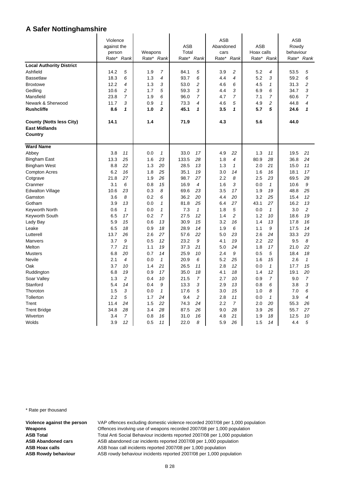|                                 | Violence    |                |            |                |             | <b>ASB</b>           |            |                      |            | <b>ASB</b>     |              |                |
|---------------------------------|-------------|----------------|------------|----------------|-------------|----------------------|------------|----------------------|------------|----------------|--------------|----------------|
|                                 | against the |                |            |                | <b>ASB</b>  |                      | Abandoned  |                      | <b>ASB</b> |                | Rowdy        |                |
|                                 | person      |                | Weapons    |                | Total       |                      | cars       |                      | Hoax calls |                | behaviour    |                |
|                                 |             | Rate* Rank     | Rate*      | Rank           | Rate*       | Rank                 | Rate*      | Rank                 | Rate*      | Rank           | Rate*        | Rank           |
| <b>Local Authority District</b> |             |                |            |                |             |                      |            |                      |            |                |              |                |
| Ashfield                        | 14.2        | 5              | 1.9        | $\overline{7}$ | 84.1        | 5                    | 3.9        | $\overline{c}$       | 5.2        | 4              | 53.5         | 5              |
| <b>Bassetlaw</b>                | 18.3        | 6              | 1.3        | 4              | 93.7        | 6                    | 4.4        | $\overline{4}$       | 5.2        | 3              | 59.2         | 6              |
| <b>Broxtowe</b>                 | 12.2        | 4              | 1.3        | 3              | 53.0        | 2                    | 4.6        | 6                    | 4.5        | $\mathbf{1}$   | 31.3         | 2              |
| Gedling                         | 10.6        | $\overline{c}$ | 1.7        | 5              | 59.3        | 3                    | 4.4        | 3                    | 6.9        | 6              | 34.7         | 3              |
| Mansfield                       | 23.8        | $\overline{7}$ | 1.9        | 6              | 96.0        | $\overline{7}$       | 4.7        | $\overline{7}$       | 7.1        | $\overline{7}$ | 60.6         | $\overline{7}$ |
| Newark & Sherwood               | 11.7        | 3              | 0.9        | $\mathbf{1}$   | 73.3        | 4                    | 4.6        | 5                    | 4.9        | 2              | 44.8         | 4              |
| <b>Rushcliffe</b>               | 8.6         | 1              | 1.0        | $\overline{2}$ | 45.1        | 1                    | 3.5        | 1                    | 5.7        | 5              | 24.6         | 1              |
|                                 |             |                |            |                |             |                      |            |                      |            |                |              |                |
| <b>County (Notts less City)</b> | 14.1        |                | 1.4        |                | 71.9        |                      | 4.3        |                      | 5.6        |                | 44.0         |                |
| <b>East Midlands</b>            |             |                |            |                |             |                      |            |                      |            |                |              |                |
| Country                         |             |                |            |                |             |                      |            |                      |            |                |              |                |
| <b>Ward Name</b>                |             |                |            |                |             |                      |            |                      |            |                |              |                |
| Abbey                           | 3.8         | 11             | 0.0        | $\mathcal I$   | 33.0        | 17                   | 4.9        | 22                   | 1.3        | 11             | 19.5         | 21             |
| <b>Bingham East</b>             | 13.3        | 25             | 1.6        | 23             | 133.5       | 28                   | 1.8        | $\overline{4}$       | 80.9       | 28             | 36.8         | 24             |
| <b>Bingham West</b>             | 8.8         | 22             | 1.3        | 20             | 28.5        | 13                   | 1.3        | $\mathbf{1}$         | 2.0        | 21             | 15.0         | 11             |
| <b>Compton Acres</b>            | 6.2         | 16             | 1.8        | 25             | 35.1        | 19                   | 3.0        | 14                   | 1.6        | 16             | 18.1         | 17             |
| Cotgrave                        | 21.8        | 27             | 1.9        | 26             | 98.7        | 27                   | 2.2        | 8                    | 2.5        | 23             | 69.5         | 28             |
| Cranmer                         | 3.1         | 6              | 0.8        | 15             | 16.9        | 4                    | 1.6        | 3                    | 0.0        | $\mathbf{1}$   | 10.6         | 9              |
| <b>Edwalton Village</b>         | 10.6        | 23             | 0.3        | 8              | 69.6        | 23                   | 3.5        | 17                   | 1.9        | 19             | 48.8         | 25             |
| Gamston                         | 3.6         | 8              | 0.2        | 6              | 36.2        | 20                   | 4.4        | 20                   | 3.2        | 25             | 15.4         | 12             |
| Gotham                          | 3.9         | 13             | 0.0        | $\mathbf{1}$   | 81.8        | 25                   | 6.4        | 27                   | 43.1       | 27             | 16.2         | 13             |
| Keyworth North                  | 0.6         | $\mathbf{1}$   | 0.0        | 1              | 7.3         | $\mathbf{1}$         | 1.8        | 5                    | 0.0        | 1              | 3.0          | 2              |
| Keyworth South                  | 6.5         | 17             | 0.2        | $\overline{7}$ | 27.5        | 12                   | 1.4        | $\overline{c}$       | 1.2        | 10             | 18.6         | 19             |
| Lady Bay                        | 5.9         | 15             | 0.6        | 13             | 30.9        | 15                   | 3.2        | 16                   | 1.4        | 13             | 17.8         | 16             |
| Leake                           | 6.5         | 18             | 0.9        | 18             | 28.9        | 14                   | 1.9        | 6                    | 1.1        | 9              | 17.5         | 14             |
| Lutterell                       | 13.7        | 26             | 2.6        | 27             | 57.6        | 22                   | 5.0        | 23                   | 2.6        | 24             | 33.3         | 23             |
| Manvers                         | 3.7         | 9              | 0.5        | 12             | 23.2        | 9                    | 4.1        | 19                   | 2.2        | 22             | 9.5          | 8              |
| Melton                          | 7.7         | 21             | 1.1        | 19             | 37.3        | 21                   | 5.0        | 24                   | 1.8        | 17             | 21.0         | 22             |
| <b>Musters</b>                  | 6.8         | 20             | 0.7        | 14             | 25.9        | 10                   | 2.4        | 9                    | 0.5        | 5              | 18.4         | 18             |
| Nevile                          | 2.1         | 4              | 0.0        | $\mathbf{1}$   | 20.9        | 6                    | 5.2        | 25                   | 1.6        | 15             | 2.6          | $\mathbf{1}$   |
| Oak                             | 3.7         | 10             | 1.4        | 21             | 26.5        | 11                   | 2.8        | 12                   | 0.0        | $\mathbf{1}$   | 17.7         | 15             |
| Ruddington                      | 6.8         | 19             | 0.9        | 17             | 35.0        | 18                   | 4.1        | 18                   | 1.4        | 12             | 19.1         | 20             |
| Soar Valley                     | 1.3         | $\overline{a}$ | 0.4        | 10             | 21.5        | $\overline{7}$       | 2.7        | 10                   | 0.9        | 7              | 9.0          | $\overline{7}$ |
| Stanford                        | 5.4         | 14             | 0.4        | 9              | 13.3        | 3                    | 2.9        | 13                   | 0.8        | 6              | 3.8          | 3              |
| Thoroton                        | 1.5         | 3              | 0.0        | $\mathbf{1}$   | 17.6        | 5                    | 3.0        | 15                   | 1.0        | 8              | 7.0          | 6              |
| Tollerton<br>Trent              | 2.2<br>11.4 | 5<br>24        | 1.7<br>1.5 | 24<br>22       | 9.4<br>74.3 | $\overline{c}$<br>24 | 2.8<br>2.2 | 11<br>$\overline{7}$ | 0.0<br>2.0 | 1<br>20        | 3.9          | 4<br>26        |
|                                 | 34.8        | 28             | 3.4        | 28             | 87.5        | 26                   | 9.0        | 28                   | 3.9        | 26             | 55.3<br>55.7 | 27             |
| <b>Trent Bridge</b><br>Wiverton | 3.4         | $\overline{7}$ | 0.8        | 16             | 31.0        | 16                   | 4.8        | 21                   | 1.9        | 18             | 12.5         | 10             |
| Wolds                           | 3.9         | 12             | 0.5        | 11             | 22.0        | 8                    | 5.9        | 26                   | 1.5        | 14             | 4.4          | 5              |
|                                 |             |                |            |                |             |                      |            |                      |            |                |              |                |

\* Rate per thousand